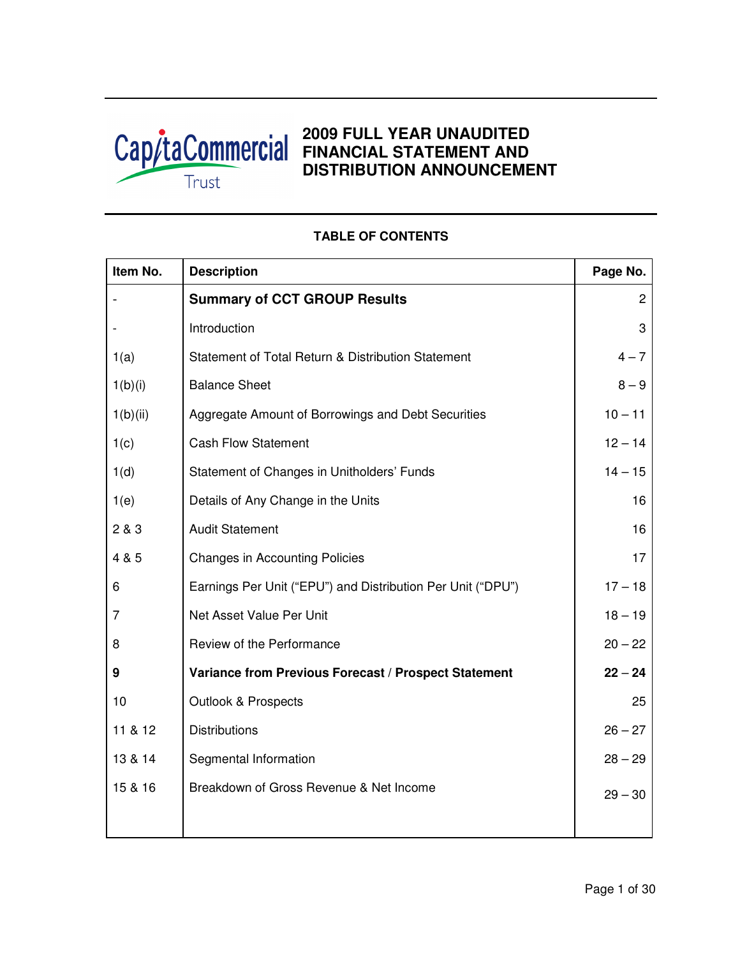

# **2009 FULL YEAR UNAUDITED FINANCIAL STATEMENT AND DISTRIBUTION ANNOUNCEMENT**

|                                                             | Page No.       |
|-------------------------------------------------------------|----------------|
| <b>Summary of CCT GROUP Results</b>                         | $\overline{c}$ |
| Introduction                                                | 3              |
| Statement of Total Return & Distribution Statement          | $4 - 7$        |
| <b>Balance Sheet</b>                                        | $8 - 9$        |
| Aggregate Amount of Borrowings and Debt Securities          | $10 - 11$      |
| <b>Cash Flow Statement</b>                                  | $12 - 14$      |
| Statement of Changes in Unitholders' Funds                  | $14 - 15$      |
| Details of Any Change in the Units                          | 16             |
| <b>Audit Statement</b>                                      | 16             |
| <b>Changes in Accounting Policies</b>                       | 17             |
| Earnings Per Unit ("EPU") and Distribution Per Unit ("DPU") | $17 - 18$      |
| Net Asset Value Per Unit                                    | $18 - 19$      |
| Review of the Performance                                   | $20 - 22$      |
| Variance from Previous Forecast / Prospect Statement        | $22 - 24$      |
| <b>Outlook &amp; Prospects</b>                              | 25             |
| <b>Distributions</b>                                        | $26 - 27$      |
| Segmental Information                                       | $28 - 29$      |
| Breakdown of Gross Revenue & Net Income                     | $29 - 30$      |
|                                                             |                |

## **TABLE OF CONTENTS**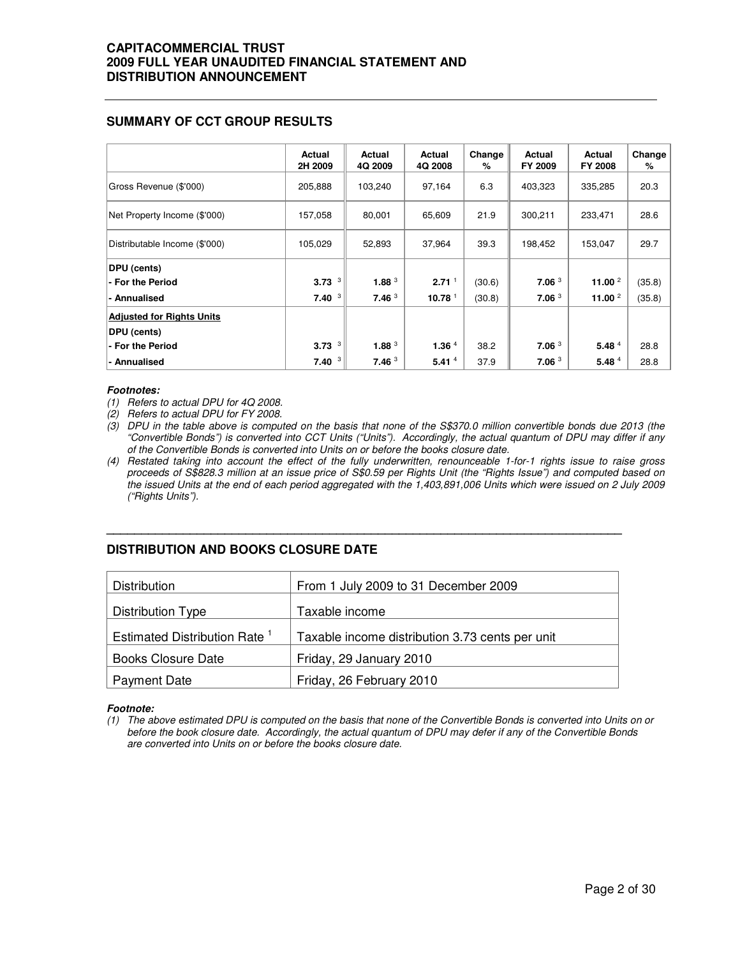## **SUMMARY OF CCT GROUP RESULTS**

|                                  | Actual<br>2H 2009 | Actual<br>4Q 2009 | Actual<br>4Q 2008 | Change<br>% | Actual<br>FY 2009 | Actual<br><b>FY 2008</b> | Change<br>% |
|----------------------------------|-------------------|-------------------|-------------------|-------------|-------------------|--------------------------|-------------|
| Gross Revenue (\$'000)           | 205,888           | 103,240           | 97,164            | 6.3         | 403,323           | 335,285                  | 20.3        |
| Net Property Income (\$'000)     | 157,058           | 80,001            | 65,609            | 21.9        | 300,211           | 233,471                  | 28.6        |
| Distributable Income (\$'000)    | 105,029           | 52,893            | 37,964            | 39.3        | 198,452           | 153,047                  | 29.7        |
| DPU (cents)                      |                   |                   |                   |             |                   |                          |             |
| - For the Period                 | 3<br>3.73         | 1.88 <sup>3</sup> | 2.71 <sup>1</sup> | (30.6)      | 7.06 <sup>3</sup> | 11.00 $^{2}$             | (35.8)      |
| - Annualised                     | 3<br>7.40         | 7.46 <sup>3</sup> | 10.78 $1$         | (30.8)      | 7.06 <sup>3</sup> | 11.00 $^{2}$             | (35.8)      |
| <b>Adjusted for Rights Units</b> |                   |                   |                   |             |                   |                          |             |
| DPU (cents)                      |                   |                   |                   |             |                   |                          |             |
| - For the Period                 | 3<br>3.73         | 1.88 <sup>3</sup> | 1.36 $4$          | 38.2        | 7.06 <sup>3</sup> | 5.48 $4$                 | 28.8        |
| - Annualised                     | 3<br>7.40         | 7.46 <sup>3</sup> | 5.41 $4$          | 37.9        | 7.06 <sup>3</sup> | 5.48 $4$                 | 28.8        |

### **Footnotes:**

- (1) Refers to actual DPU for 4Q 2008.
- (2) Refers to actual DPU for FY 2008.
- (3) DPU in the table above is computed on the basis that none of the S\$370.0 million convertible bonds due 2013 (the "Convertible Bonds") is converted into CCT Units ("Units"). Accordingly, the actual quantum of DPU may differ if any of the Convertible Bonds is converted into Units on or before the books closure date.
- (4) Restated taking into account the effect of the fully underwritten, renounceable 1-for-1 rights issue to raise gross proceeds of S\$828.3 million at an issue price of S\$0.59 per Rights Unit (the "Rights Issue") and computed based on the issued Units at the end of each period aggregated with the 1,403,891,006 Units which were issued on 2 July 2009 ("Rights Units").

## **DISTRIBUTION AND BOOKS CLOSURE DATE**

| Distribution                             | From 1 July 2009 to 31 December 2009            |
|------------------------------------------|-------------------------------------------------|
| Distribution Type                        | Taxable income                                  |
| Estimated Distribution Rate <sup>1</sup> | Taxable income distribution 3.73 cents per unit |
| <b>Books Closure Date</b>                | Friday, 29 January 2010                         |
| <b>Payment Date</b>                      | Friday, 26 February 2010                        |

**\_\_\_\_\_\_\_\_\_\_\_\_\_\_\_\_\_\_\_\_\_\_\_\_\_\_\_\_\_\_\_\_\_\_\_\_\_\_\_\_\_\_\_\_\_\_\_\_\_\_\_\_\_\_\_\_\_\_\_\_\_\_\_\_\_\_\_\_\_\_\_\_\_\_** 

### **Footnote:**

(1) The above estimated DPU is computed on the basis that none of the Convertible Bonds is converted into Units on or before the book closure date. Accordingly, the actual quantum of DPU may defer if any of the Convertible Bonds are converted into Units on or before the books closure date.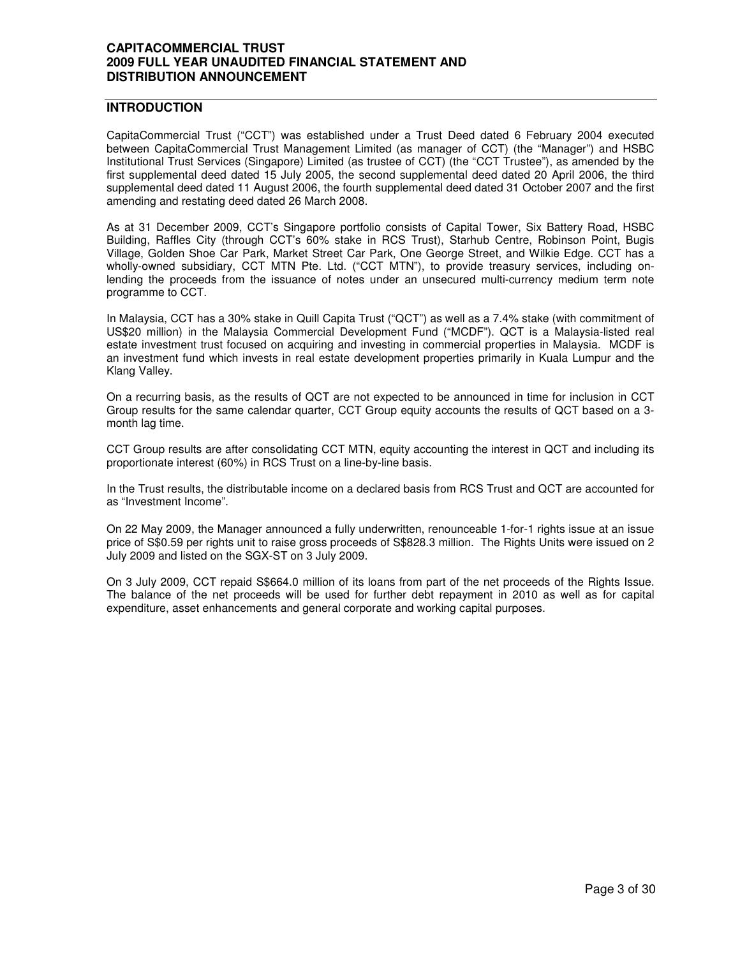## **INTRODUCTION**

CapitaCommercial Trust ("CCT") was established under a Trust Deed dated 6 February 2004 executed between CapitaCommercial Trust Management Limited (as manager of CCT) (the "Manager") and HSBC Institutional Trust Services (Singapore) Limited (as trustee of CCT) (the "CCT Trustee"), as amended by the first supplemental deed dated 15 July 2005, the second supplemental deed dated 20 April 2006, the third supplemental deed dated 11 August 2006, the fourth supplemental deed dated 31 October 2007 and the first amending and restating deed dated 26 March 2008.

As at 31 December 2009, CCT's Singapore portfolio consists of Capital Tower, Six Battery Road, HSBC Building, Raffles City (through CCT's 60% stake in RCS Trust), Starhub Centre, Robinson Point, Bugis Village, Golden Shoe Car Park, Market Street Car Park, One George Street, and Wilkie Edge. CCT has a wholly-owned subsidiary, CCT MTN Pte. Ltd. ("CCT MTN"), to provide treasury services, including onlending the proceeds from the issuance of notes under an unsecured multi-currency medium term note programme to CCT.

In Malaysia, CCT has a 30% stake in Quill Capita Trust ("QCT") as well as a 7.4% stake (with commitment of US\$20 million) in the Malaysia Commercial Development Fund ("MCDF"). QCT is a Malaysia-listed real estate investment trust focused on acquiring and investing in commercial properties in Malaysia. MCDF is an investment fund which invests in real estate development properties primarily in Kuala Lumpur and the Klang Valley.

On a recurring basis, as the results of QCT are not expected to be announced in time for inclusion in CCT Group results for the same calendar quarter, CCT Group equity accounts the results of QCT based on a 3 month lag time.

CCT Group results are after consolidating CCT MTN, equity accounting the interest in QCT and including its proportionate interest (60%) in RCS Trust on a line-by-line basis.

In the Trust results, the distributable income on a declared basis from RCS Trust and QCT are accounted for as "Investment Income".

On 22 May 2009, the Manager announced a fully underwritten, renounceable 1-for-1 rights issue at an issue price of S\$0.59 per rights unit to raise gross proceeds of S\$828.3 million. The Rights Units were issued on 2 July 2009 and listed on the SGX-ST on 3 July 2009.

On 3 July 2009, CCT repaid S\$664.0 million of its loans from part of the net proceeds of the Rights Issue. The balance of the net proceeds will be used for further debt repayment in 2010 as well as for capital expenditure, asset enhancements and general corporate and working capital purposes.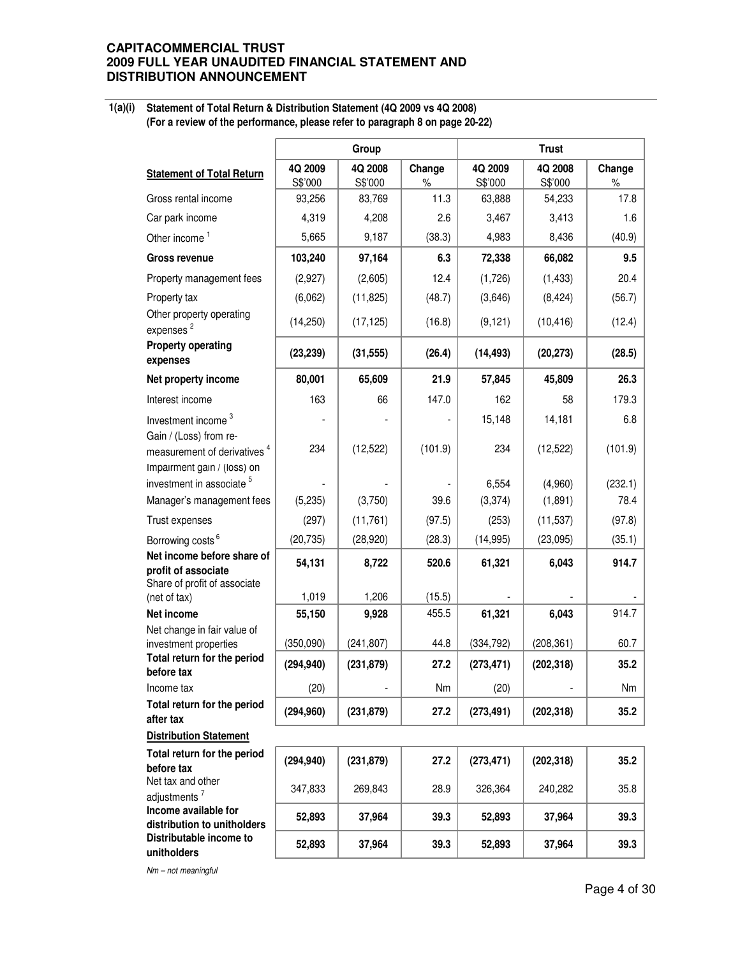#### **1(a)(i) Statement of Total Return & Distribution Statement (4Q 2009 vs 4Q 2008) (For a review of the performance, please refer to paragraph 8 on page 20-22)**

|                                                                     |                    | Group              |                |                    | <b>Trust</b>       |             |
|---------------------------------------------------------------------|--------------------|--------------------|----------------|--------------------|--------------------|-------------|
| <b>Statement of Total Return</b>                                    | 4Q 2009<br>S\$'000 | 4Q 2008<br>S\$'000 | Change<br>$\%$ | 4Q 2009<br>S\$'000 | 4Q 2008<br>S\$'000 | Change<br>% |
| Gross rental income                                                 | 93,256             | 83,769             | 11.3           | 63,888             | 54,233             | 17.8        |
| Car park income                                                     | 4,319              | 4,208              | 2.6            | 3,467              | 3,413              | 1.6         |
| Other income <sup>1</sup>                                           | 5,665              | 9,187              | (38.3)         | 4,983              | 8,436              | (40.9)      |
| <b>Gross revenue</b>                                                | 103,240            | 97,164             | 6.3            | 72,338             | 66,082             | 9.5         |
| Property management fees                                            | (2,927)            | (2,605)            | 12.4           | (1,726)            | (1, 433)           | 20.4        |
| Property tax                                                        | (6,062)            | (11, 825)          | (48.7)         | (3,646)            | (8, 424)           | (56.7)      |
| Other property operating<br>expenses <sup>2</sup>                   | (14, 250)          | (17, 125)          | (16.8)         | (9, 121)           | (10, 416)          | (12.4)      |
| <b>Property operating</b><br>expenses                               | (23, 239)          | (31, 555)          | (26.4)         | (14, 493)          | (20, 273)          | (28.5)      |
| Net property income                                                 | 80,001             | 65,609             | 21.9           | 57,845             | 45,809             | 26.3        |
| Interest income                                                     | 163                | 66                 | 147.0          | 162                | 58                 | 179.3       |
| Investment income <sup>3</sup>                                      |                    |                    |                | 15,148             | 14,181             | 6.8         |
| Gain / (Loss) from re-<br>measurement of derivatives <sup>4</sup>   | 234                | (12, 522)          | (101.9)        | 234                | (12, 522)          | (101.9)     |
| Impairment gain / (loss) on<br>investment in associate <sup>5</sup> |                    |                    |                | 6,554              | (4,960)            | (232.1)     |
| Manager's management fees                                           | (5,235)            | (3,750)            | 39.6           | (3,374)            | (1,891)            | 78.4        |
| Trust expenses                                                      | (297)              | (11, 761)          | (97.5)         | (253)              | (11, 537)          | (97.8)      |
| Borrowing costs <sup>6</sup>                                        | (20, 735)          | (28, 920)          | (28.3)         | (14, 995)          | (23,095)           | (35.1)      |
| Net income before share of                                          | 54,131             | 8,722              | 520.6          | 61,321             | 6,043              | 914.7       |
| profit of associate<br>Share of profit of associate<br>(net of tax) | 1,019              | 1,206              | (15.5)         |                    |                    |             |
| Net income                                                          | 55,150             | 9,928              | 455.5          | 61,321             | 6,043              | 914.7       |
| Net change in fair value of                                         |                    |                    |                |                    |                    |             |
| investment properties<br>Total return for the period                | (350,090)          | (241, 807)         | 44.8           | (334, 792)         | (208, 361)         | 60.7        |
| before tax                                                          | (294, 940)         | (231, 879)         | 27.2           | (273, 471)         | (202, 318)         | 35.2        |
| Income tax                                                          | (20)               |                    | Nm             | (20)               |                    | Nm          |
| Total return for the period<br>after tax                            | (294, 960)         | (231, 879)         | 27.2           | (273, 491)         | (202, 318)         | 35.2        |
| <b>Distribution Statement</b>                                       |                    |                    |                |                    |                    |             |
| Total return for the period<br>before tax                           | (294, 940)         | (231, 879)         | 27.2           | (273, 471)         | (202, 318)         | 35.2        |
| Net tax and other<br>adjustments <sup>7</sup>                       | 347,833            | 269,843            | 28.9           | 326,364            | 240,282            | 35.8        |
| Income available for<br>distribution to unitholders                 | 52,893             | 37,964             | 39.3           | 52,893             | 37,964             | 39.3        |
| Distributable income to<br>unitholders                              | 52,893             | 37,964             | 39.3           | 52,893             | 37,964             | 39.3        |

Nm – not meaningful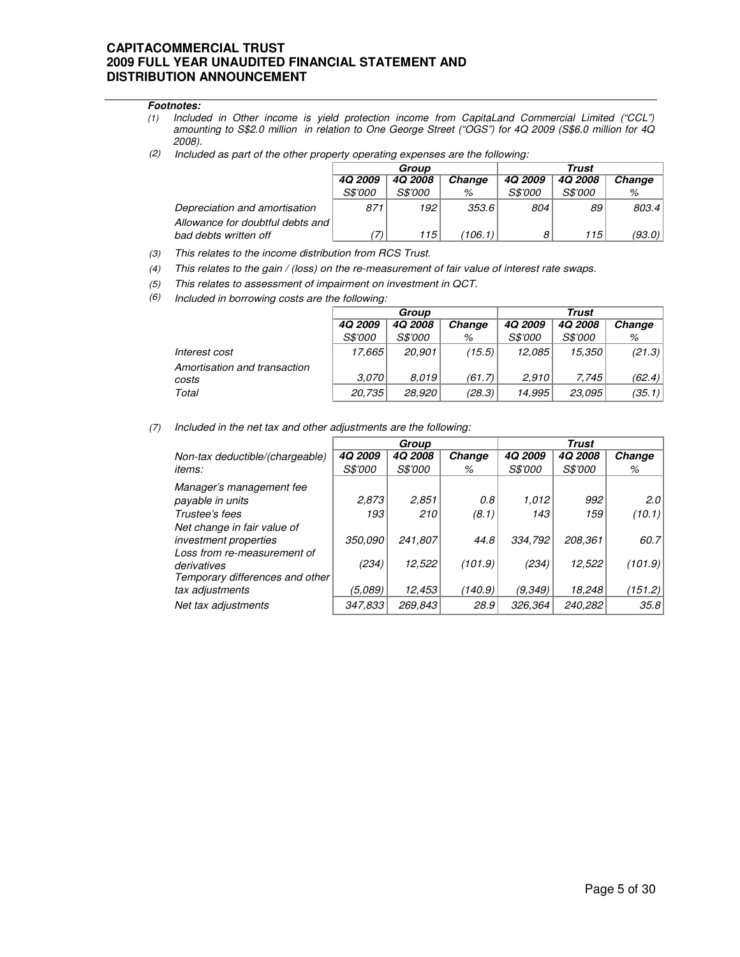### **Footnotes:**

- (1) Included in Other income is yield protection income from CapitaLand Commercial Limited ("CCL") amounting to S\$2.0 million in relation to One George Street ("OGS") for 4Q 2009 (S\$6.0 million for 4Q 2008).
- (2) Included as part of the other property operating expenses are the following:

|                                                             | Group          |                |         | Trust          |                |        |  |
|-------------------------------------------------------------|----------------|----------------|---------|----------------|----------------|--------|--|
|                                                             | 4Q 2009        | <b>4Q 2008</b> | Change  | 4Q 2009        | <b>4Q 2008</b> | Change |  |
|                                                             | <i>S\$'000</i> | <i>S\$'000</i> | %       | <i>S\$'000</i> | <i>S\$'000</i> | %      |  |
| Depreciation and amortisation                               | 871            | 192            | 353.6   | 804            | 89             | 803.4  |  |
| Allowance for doubtful debts and l<br>bad debts written off |                | 115            | (106.1) | 8              | 115            | (93.0) |  |

(3) This relates to the income distribution from RCS Trust.

(4) This relates to the gain / (loss) on the re-measurement of fair value of interest rate swaps.

(5) This relates to assessment of impairment on investment in QCT.

(6) Included in borrowing costs are the following:

|                              |                | Group          |        |                | Trust          |        |
|------------------------------|----------------|----------------|--------|----------------|----------------|--------|
|                              | <b>4Q 2009</b> | <b>4Q 2008</b> | Change | <b>4Q 2009</b> | <b>4Q 2008</b> | Change |
|                              | <i>S\$'000</i> | <i>S\$'000</i> | %      | <i>S\$'000</i> | <i>S\$'000</i> | %      |
| Interest cost                | 17.665         | 20,901         | (15.5) | 12,085         | 15,350         | (21.3) |
| Amortisation and transaction |                |                |        |                |                |        |
| costs                        | 3.070          | 8.019          | (61.7) | 2.910          | 7.745          | (62.4) |
| Total                        | 20.735         | 28,920         | (28.3) | 14,995         | 23.095         | (35.1) |

(7) Included in the net tax and other adjustments are the following:

|                                                                               |                       | Group                 |         |                | Trust          |         |
|-------------------------------------------------------------------------------|-----------------------|-----------------------|---------|----------------|----------------|---------|
| Non-tax deductible/(chargeable)                                               | <b>4Q 2009</b>        | <b>4Q 2008</b>        | Change  | 4Q 2009        | <b>4Q 2008</b> | Change  |
| <i>items:</i>                                                                 | <i><b>S\$'000</b></i> | <i><b>S\$'000</b></i> | %       | <i>S\$'000</i> | <i>S\$'000</i> | %       |
| Manager's management fee                                                      |                       |                       |         |                |                |         |
| payable in units                                                              | 2,873                 | 2,851                 | 0.8     | 1,012          | 992            | 2.0     |
| Trustee's fees                                                                | 193                   | 210                   | (8.1)   | 143            | 159            | (10.1)  |
| Net change in fair value of                                                   |                       |                       |         |                |                |         |
| <i>investment properties</i>                                                  | 350,090               | 241,807               | 44.8    | 334,792        | 208,361        | 60.7    |
| Loss from re-measurement of<br>derivatives<br>Temporary differences and other | (234)                 | 12,522                | (101.9) | (234)          | 12,522         | (101.9) |
| tax adjustments                                                               | (5,089)               | 12,453                | (140.9) | (9, 349)       | 18,248         | (151.2) |
| Net tax adjustments                                                           | 347,833               | 269,843               | 28.9    | 326,364        | 240,282        | 35.8    |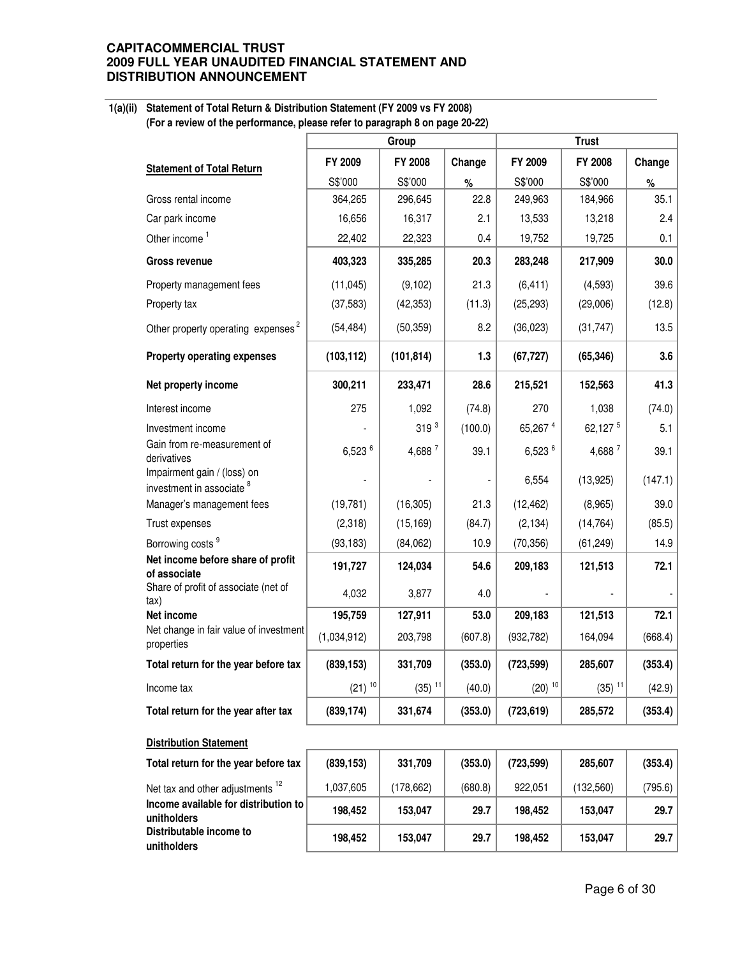### **1(a)(ii) Statement of Total Return & Distribution Statement (FY 2009 vs FY 2008) (For a review of the performance, please refer to paragraph 8 on page 20-22)**

|                                                                     |                      | Group                |         |                      | <b>Trust</b>         |         |
|---------------------------------------------------------------------|----------------------|----------------------|---------|----------------------|----------------------|---------|
| <b>Statement of Total Return</b>                                    | FY 2009              | FY 2008              | Change  | FY 2009              | FY 2008              | Change  |
|                                                                     | S\$'000              | S\$'000              | %       | S\$'000              | S\$'000              | $\%$    |
| Gross rental income                                                 | 364,265              | 296,645              | 22.8    | 249,963              | 184,966              | 35.1    |
| Car park income                                                     | 16,656               | 16,317               | 2.1     | 13,533               | 13,218               | 2.4     |
| Other income <sup>1</sup>                                           | 22,402               | 22,323               | 0.4     | 19,752               | 19,725               | 0.1     |
| <b>Gross revenue</b>                                                | 403,323              | 335,285              | 20.3    | 283,248              | 217,909              | 30.0    |
| Property management fees                                            | (11, 045)            | (9, 102)             | 21.3    | (6, 411)             | (4,593)              | 39.6    |
| Property tax                                                        | (37, 583)            | (42, 353)            | (11.3)  | (25, 293)            | (29,006)             | (12.8)  |
| Other property operating expenses <sup>2</sup>                      | (54, 484)            | (50, 359)            | 8.2     | (36, 023)            | (31, 747)            | 13.5    |
| <b>Property operating expenses</b>                                  | (103, 112)           | (101, 814)           | 1.3     | (67, 727)            | (65, 346)            | 3.6     |
| Net property income                                                 | 300,211              | 233,471              | 28.6    | 215,521              | 152,563              | 41.3    |
| Interest income                                                     | 275                  | 1,092                | (74.8)  | 270                  | 1,038                | (74.0)  |
| Investment income                                                   |                      | 319 <sup>3</sup>     | (100.0) | 65,267 4             | 62,127 5             | 5.1     |
| Gain from re-measurement of<br>derivatives                          | 6,523 6              | 4,688 7              | 39.1    | 6,523 $6$            | 4,688 7              | 39.1    |
| Impairment gain / (loss) on<br>investment in associate <sup>8</sup> |                      |                      |         | 6,554                | (13, 925)            | (147.1) |
| Manager's management fees                                           | (19, 781)            | (16, 305)            | 21.3    | (12, 462)            | (8,965)              | 39.0    |
| Trust expenses                                                      | (2,318)              | (15, 169)            | (84.7)  | (2, 134)             | (14, 764)            | (85.5)  |
| Borrowing costs <sup>9</sup>                                        | (93, 183)            | (84,062)             | 10.9    | (70, 356)            | (61, 249)            | 14.9    |
| Net income before share of profit<br>of associate                   | 191,727              | 124,034              | 54.6    | 209,183              | 121,513              | 72.1    |
| Share of profit of associate (net of<br>$\mathsf{tax}$              | 4,032                | 3,877                | 4.0     |                      |                      |         |
| Net income                                                          | 195,759              | 127,911              | 53.0    | 209,183              | 121,513              | 72.1    |
| Net change in fair value of investment<br>properties                | (1,034,912)          | 203,798              | (607.8) | (932, 782)           | 164,094              | (668.4) |
| Total return for the year before tax                                | (839, 153)           | 331,709              | (353.0) | (723, 599)           | 285,607              | (353.4) |
| Income tax                                                          | $(21)$ <sup>10</sup> | $(35)$ <sup>11</sup> | (40.0)  | $(20)$ <sup>10</sup> | $(35)$ <sup>11</sup> | (42.9)  |
| Total return for the year after tax                                 | (839, 174)           | 331,674              | (353.0) | (723, 619)           | 285,572              | (353.4) |
| <b>Distribution Statement</b>                                       |                      |                      |         |                      |                      |         |
| Total return for the year before tax                                | (839, 153)           | 331,709              | (353.0) | (723, 599)           | 285,607              | (353.4) |
| Net tax and other adjustments <sup>12</sup>                         | 1,037,605            | (178, 662)           | (680.8) | 922,051              | (132, 560)           | (795.6) |
| Income available for distribution to<br>unitholders                 | 198,452              | 153,047              | 29.7    | 198,452              | 153,047              | 29.7    |
| Distributable income to<br>unitholders                              | 198,452              | 153,047              | 29.7    | 198,452              | 153,047              | 29.7    |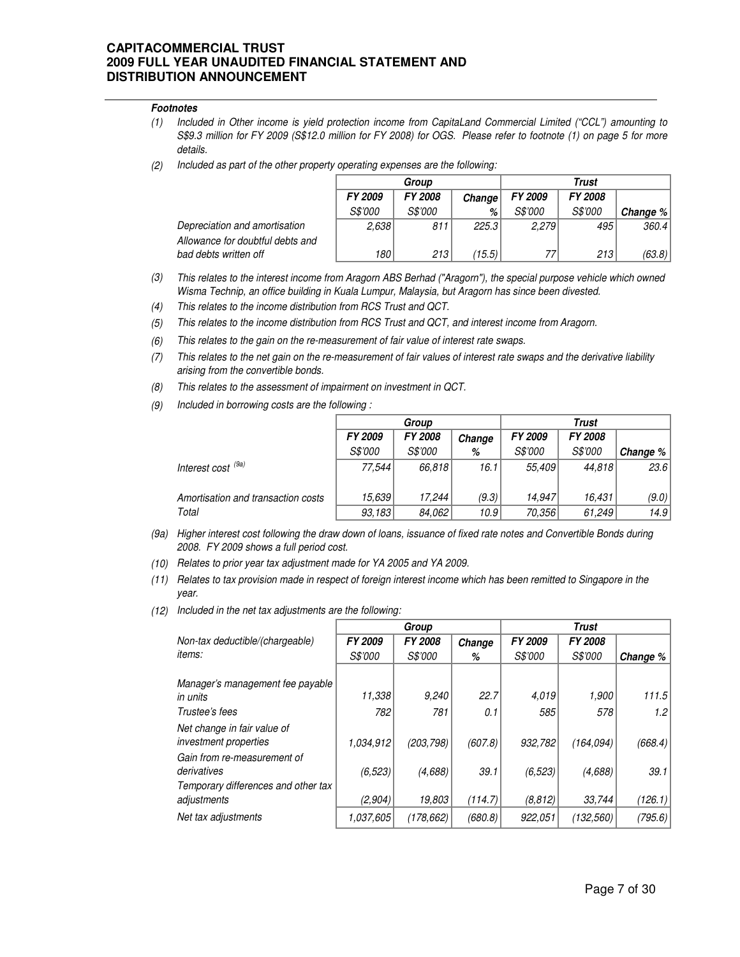### **Footnotes**

- (1) Included in Other income is yield protection income from CapitaLand Commercial Limited ("CCL") amounting to S\$9.3 million for FY 2009 (S\$12.0 million for FY 2008) for OGS. Please refer to footnote (1) on page 5 for more details.
- (2) Included as part of the other property operating expenses are the following:

|                                  |                | Group          |        |                | Trust          |            |
|----------------------------------|----------------|----------------|--------|----------------|----------------|------------|
|                                  | <b>FY 2009</b> | <b>FY 2008</b> | Change | FY 2009        | <b>FY 2008</b> |            |
|                                  | <i>S\$'000</i> | <i>S\$'000</i> | %      | <i>S\$'000</i> | <i>S\$'000</i> | Change $%$ |
| Depreciation and amortisation    | 2,638          | 811            | 225.3  | 2.279          | 495'           | 360.4      |
| Allowance for doubtful debts and |                |                |        |                |                |            |
| bad debts written off            | 180            | 213            | (15.5) | 77             | 213            | (63.8) $ $ |

- (3) This relates to the interest income from Aragorn ABS Berhad ("Aragorn"), the special purpose vehicle which owned Wisma Technip, an office building in Kuala Lumpur, Malaysia, but Aragorn has since been divested.
- (4) This relates to the income distribution from RCS Trust and QCT.
- (5) This relates to the income distribution from RCS Trust and QCT, and interest income from Aragorn.
- (6) This relates to the gain on the re-measurement of fair value of interest rate swaps.
- (7) This relates to the net gain on the re-measurement of fair values of interest rate swaps and the derivative liability arising from the convertible bonds.
- (8) This relates to the assessment of impairment on investment in QCT.
- (9) Included in borrowing costs are the following :

|                                    |                | Group          |        |                |                |            |
|------------------------------------|----------------|----------------|--------|----------------|----------------|------------|
|                                    | FY 2009        | <b>FY 2008</b> | Change | <b>FY 2009</b> | <b>FY 2008</b> |            |
|                                    | <i>S\$'000</i> | <i>S\$'000</i> | %      | <i>S\$'000</i> | <i>S\$'000</i> | Change $%$ |
| Interest cost <sup>(9a)</sup>      | 77.544         | 66.818         | 16.1   | 55.409         | 44,818         | 23.6       |
| Amortisation and transaction costs | 15,639         | 17.244         | (9.3)  | 14,947         | 16,431         | (9.0)      |
| Total                              | 93,183         | 84,062         | 10.9   | 70,356         | 61,249         | 14.9       |

- (9a) Higher interest cost following the draw down of loans, issuance of fixed rate notes and Convertible Bonds during 2008. FY 2009 shows a full period cost.
- (10) Relates to prior year tax adjustment made for YA 2005 and YA 2009.
- (11) Relates to tax provision made in respect of foreign interest income which has been remitted to Singapore in the year.
- (12) Included in the net tax adjustments are the following:

|                                                                                     |           | Group          |         |                | <b>Trust</b>   |          |
|-------------------------------------------------------------------------------------|-----------|----------------|---------|----------------|----------------|----------|
| Non-tax deductible/(chargeable)                                                     | FY 2009   | <b>FY 2008</b> | Change  | FY 2009        | <b>FY 2008</b> |          |
| <i>items:</i>                                                                       | S\$'000   | <i>S\$'000</i> | %       | <i>S\$'000</i> | <i>S\$'000</i> | Change % |
| Manager's management fee payable<br>in units                                        | 11,338    | 9,240          | 22.7    | 4,019          | 1,900          | 111.5    |
| Trustee's fees                                                                      | 782       | 781            | 0.1     | 585            | 578            | 1.2      |
| Net change in fair value of<br>investment properties<br>Gain from re-measurement of | 1.034,912 | (203, 798)     | (607.8) | 932,782        | (164.094)      | (668.4)  |
| derivatives<br>Temporary differences and other tax                                  | (6, 523)  | (4,688)        | 39.1    | (6, 523)       | (4,688)        | 39.1     |
| adjustments                                                                         | (2,904)   | 19,803         | (114.7) | (8, 812)       | 33,744         | (126.1)  |
| Net tax adjustments                                                                 | 1.037.605 | (178, 662)     | (680.8) | 922,051        | (132, 560)     | (795.6)  |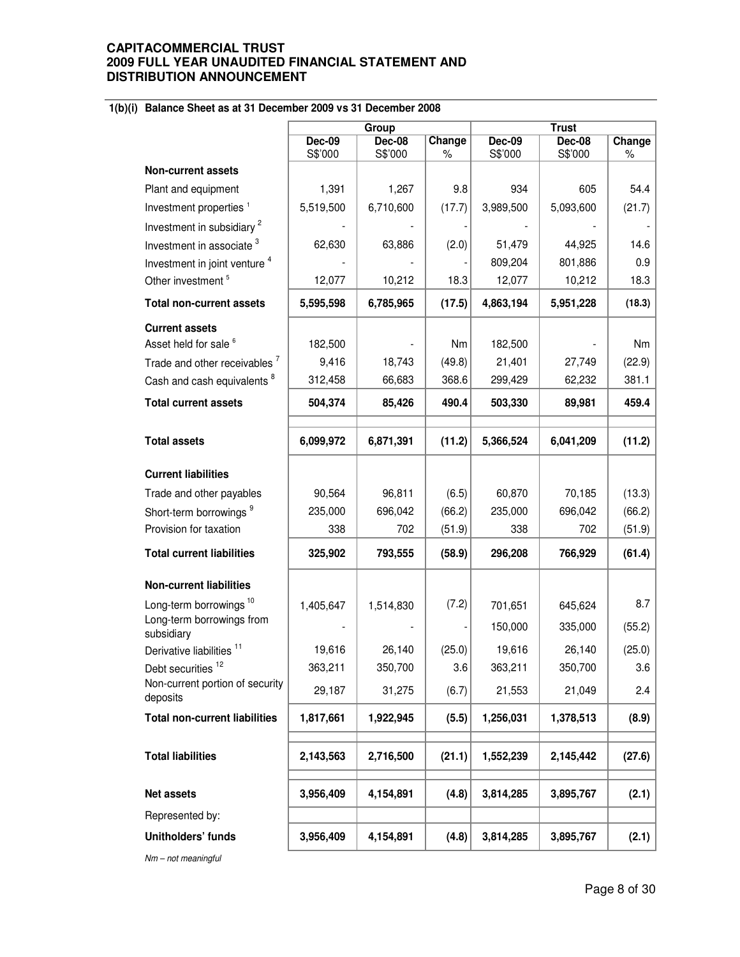# **1(b)(i) Balance Sheet as at 31 December 2009 vs 31 December 2008**

|                                             |               | Group         |        |               | <b>Trust</b> |        |
|---------------------------------------------|---------------|---------------|--------|---------------|--------------|--------|
|                                             | <b>Dec-09</b> | <b>Dec-08</b> | Change | <b>Dec-09</b> | Dec-08       | Change |
|                                             | S\$'000       | S\$'000       | %      | S\$'000       | S\$'000      | $\%$   |
| <b>Non-current assets</b>                   |               |               |        |               |              |        |
| Plant and equipment                         | 1,391         | 1,267         | 9.8    | 934           | 605          | 54.4   |
| Investment properties <sup>1</sup>          | 5,519,500     | 6,710,600     | (17.7) | 3,989,500     | 5,093,600    | (21.7) |
| Investment in subsidiary <sup>2</sup>       |               |               |        |               |              |        |
| Investment in associate <sup>3</sup>        | 62,630        | 63,886        | (2.0)  | 51,479        | 44,925       | 14.6   |
| Investment in joint venture <sup>4</sup>    |               |               |        | 809,204       | 801,886      | 0.9    |
| Other investment <sup>5</sup>               | 12,077        | 10,212        | 18.3   | 12,077        | 10,212       | 18.3   |
| <b>Total non-current assets</b>             | 5,595,598     | 6,785,965     | (17.5) | 4,863,194     | 5,951,228    | (18.3) |
| <b>Current assets</b>                       |               |               |        |               |              |        |
| Asset held for sale <sup>6</sup>            | 182,500       |               | Nm     | 182,500       |              | Nm     |
| Trade and other receivables <sup>7</sup>    | 9,416         | 18,743        | (49.8) | 21,401        | 27,749       | (22.9) |
| Cash and cash equivalents <sup>8</sup>      | 312,458       | 66,683        | 368.6  | 299,429       | 62,232       | 381.1  |
| <b>Total current assets</b>                 | 504,374       | 85,426        | 490.4  | 503,330       | 89,981       | 459.4  |
|                                             |               |               |        |               |              |        |
| <b>Total assets</b>                         | 6,099,972     | 6,871,391     | (11.2) | 5,366,524     | 6,041,209    | (11.2) |
| <b>Current liabilities</b>                  |               |               |        |               |              |        |
| Trade and other payables                    | 90,564        | 96,811        | (6.5)  | 60,870        | 70,185       | (13.3) |
| Short-term borrowings <sup>9</sup>          | 235,000       | 696,042       | (66.2) | 235,000       | 696,042      | (66.2) |
| Provision for taxation                      | 338           | 702           | (51.9) | 338           | 702          | (51.9) |
| <b>Total current liabilities</b>            | 325,902       | 793,555       | (58.9) | 296,208       | 766,929      | (61.4) |
| <b>Non-current liabilities</b>              |               |               |        |               |              |        |
| Long-term borrowings <sup>10</sup>          | 1,405,647     | 1,514,830     | (7.2)  | 701,651       | 645,624      | 8.7    |
| Long-term borrowings from                   |               |               |        |               |              |        |
| subsidiary                                  |               |               |        | 150,000       | 335,000      | (55.2) |
| Derivative liabilities <sup>11</sup>        | 19,616        | 26,140        | (25.0) | 19,616        | 26,140       | (25.0) |
| Debt securities <sup>12</sup>               | 363,211       | 350,700       | 3.6    | 363,211       | 350,700      | 3.6    |
| Non-current portion of security<br>deposits | 29,187        | 31,275        | (6.7)  | 21,553        | 21,049       | 2.4    |
| <b>Total non-current liabilities</b>        | 1,817,661     | 1,922,945     | (5.5)  | 1,256,031     | 1,378,513    | (8.9)  |
|                                             |               |               |        |               |              |        |
| <b>Total liabilities</b>                    | 2,143,563     | 2,716,500     | (21.1) | 1,552,239     | 2,145,442    | (27.6) |
| Net assets                                  | 3,956,409     | 4,154,891     | (4.8)  | 3,814,285     | 3,895,767    | (2.1)  |
| Represented by:                             |               |               |        |               |              |        |
| Unitholders' funds                          | 3,956,409     | 4,154,891     | (4.8)  | 3,814,285     | 3,895,767    | (2.1)  |

Nm – not meaningful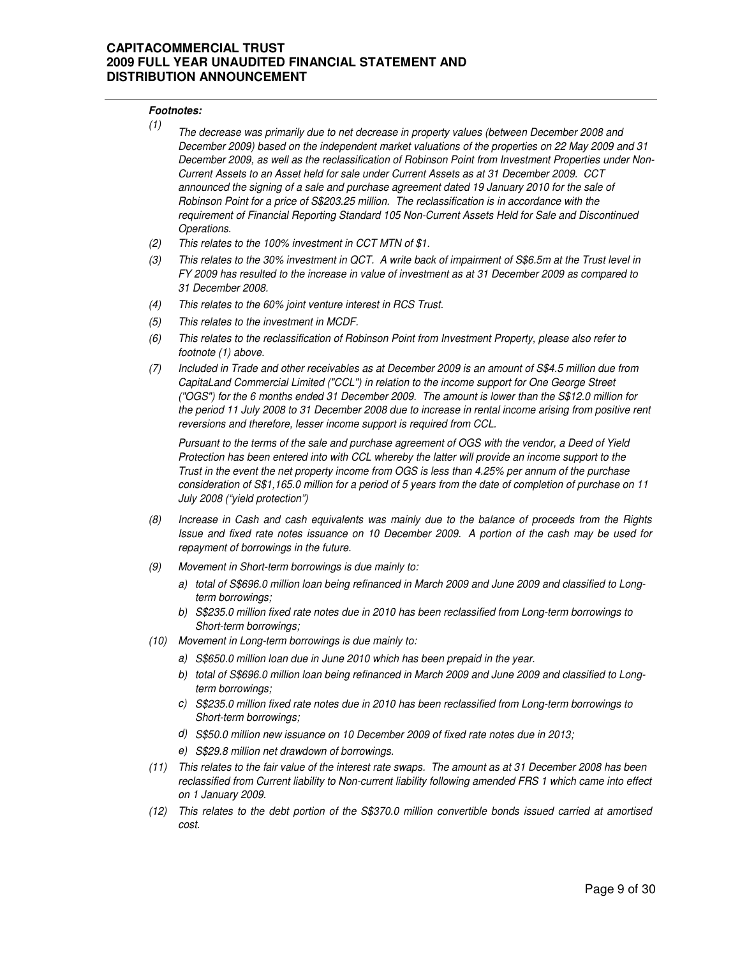### **Footnotes:**

| (1) | The decrease was primarily due to net decrease in property values (between December 2008 and           |
|-----|--------------------------------------------------------------------------------------------------------|
|     | December 2009) based on the independent market valuations of the properties on 22 May 2009 and 31      |
|     | December 2009, as well as the reclassification of Robinson Point from Investment Properties under Non- |
|     | Current Assets to an Asset held for sale under Current Assets as at 31 December 2009. CCT              |
|     | announced the signing of a sale and purchase agreement dated 19 January 2010 for the sale of           |
|     | Robinson Point for a price of S\$203.25 million. The reclassification is in accordance with the        |
|     | requirement of Financial Reporting Standard 105 Non-Current Assets Held for Sale and Discontinued      |
|     | Operations.                                                                                            |
|     |                                                                                                        |

- (2) This relates to the 100% investment in CCT MTN of \$1.
- (3) This relates to the 30% investment in QCT. A write back of impairment of S\$6.5m at the Trust level in FY 2009 has resulted to the increase in value of investment as at 31 December 2009 as compared to 31 December 2008.
- (4) This relates to the 60% joint venture interest in RCS Trust.
- (5) This relates to the investment in MCDF.
- (6) This relates to the reclassification of Robinson Point from Investment Property, please also refer to footnote (1) above.
- (7) Included in Trade and other receivables as at December 2009 is an amount of S\$4.5 million due from CapitaLand Commercial Limited ("CCL") in relation to the income support for One George Street ("OGS") for the 6 months ended 31 December 2009. The amount is lower than the S\$12.0 million for the period 11 July 2008 to 31 December 2008 due to increase in rental income arising from positive rent reversions and therefore, lesser income support is required from CCL.

Pursuant to the terms of the sale and purchase agreement of OGS with the vendor, a Deed of Yield Protection has been entered into with CCL whereby the latter will provide an income support to the Trust in the event the net property income from OGS is less than 4.25% per annum of the purchase consideration of S\$1,165.0 million for a period of 5 years from the date of completion of purchase on 11 July 2008 ("yield protection")

- (8) Increase in Cash and cash equivalents was mainly due to the balance of proceeds from the Rights Issue and fixed rate notes issuance on 10 December 2009. A portion of the cash may be used for repayment of borrowings in the future.
- (9) Movement in Short-term borrowings is due mainly to:
	- a) total of S\$696.0 million loan being refinanced in March 2009 and June 2009 and classified to Longterm borrowings;
	- b) S\$235.0 million fixed rate notes due in 2010 has been reclassified from Long-term borrowings to Short-term borrowings;
- (10) Movement in Long-term borrowings is due mainly to:
	- a) S\$650.0 million loan due in June 2010 which has been prepaid in the year.
	- b) total of S\$696.0 million loan being refinanced in March 2009 and June 2009 and classified to Longterm borrowings;
	- c) S\$235.0 million fixed rate notes due in 2010 has been reclassified from Long-term borrowings to Short-term borrowings;
	- d) S\$50.0 million new issuance on 10 December 2009 of fixed rate notes due in 2013;
	- e) S\$29.8 million net drawdown of borrowings.
- (11) This relates to the fair value of the interest rate swaps. The amount as at 31 December 2008 has been reclassified from Current liability to Non-current liability following amended FRS 1 which came into effect on 1 January 2009.
- (12) This relates to the debt portion of the S\$370.0 million convertible bonds issued carried at amortised cost.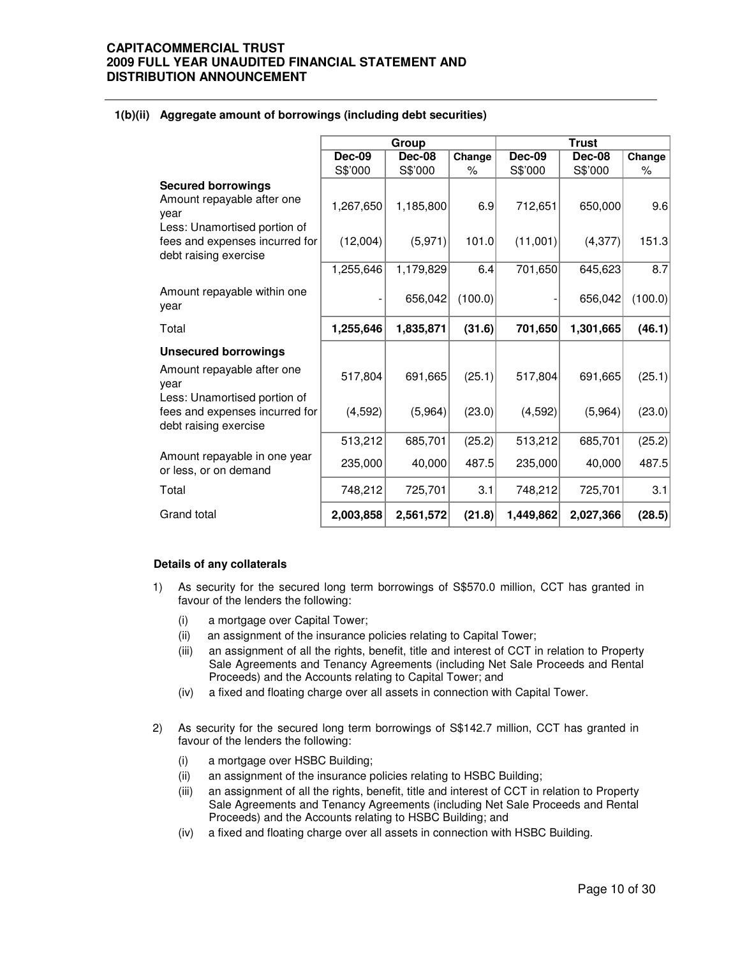|                                                                                                                                   | Group                 |                      |              |                     | <b>Trust</b>        |              |
|-----------------------------------------------------------------------------------------------------------------------------------|-----------------------|----------------------|--------------|---------------------|---------------------|--------------|
|                                                                                                                                   | <b>Dec-09</b>         | Dec-08               | Change       | <b>Dec-09</b>       | Dec-08              | Change       |
|                                                                                                                                   | S\$'000               | S\$'000              | $\%$         | S\$'000             | S\$'000             | %            |
| <b>Secured borrowings</b><br>Amount repayable after one<br>year<br>Less: Unamortised portion of<br>fees and expenses incurred for | 1,267,650<br>(12,004) | 1,185,800<br>(5,971) | 6.9<br>101.0 | 712,651<br>(11,001) | 650,000<br>(4, 377) | 9.6<br>151.3 |
| debt raising exercise                                                                                                             |                       |                      |              |                     |                     |              |
|                                                                                                                                   | 1,255,646             | 1,179,829            | 6.4          | 701,650             | 645,623             | 8.7          |
| Amount repayable within one<br>year                                                                                               |                       | 656,042              | (100.0)      |                     | 656,042             | (100.0)      |
| Total                                                                                                                             | 1,255,646             | 1,835,871            | (31.6)       | 701,650             | 1,301,665           | (46.1)       |
| <b>Unsecured borrowings</b>                                                                                                       |                       |                      |              |                     |                     |              |
| Amount repayable after one<br>year<br>Less: Unamortised portion of                                                                | 517,804               | 691,665              | (25.1)       | 517,804             | 691,665             | (25.1)       |
| fees and expenses incurred for<br>debt raising exercise                                                                           | (4, 592)              | (5,964)              | (23.0)       | (4,592)             | (5,964)             | (23.0)       |
|                                                                                                                                   | 513,212               | 685,701              | (25.2)       | 513,212             | 685,701             | (25.2)       |
| Amount repayable in one year<br>or less, or on demand                                                                             | 235,000               | 40,000               | 487.5        | 235,000             | 40,000              | 487.5        |
| Total                                                                                                                             | 748,212               | 725,701              | 3.1          | 748,212             | 725,701             | 3.1          |
| Grand total                                                                                                                       | 2,003,858             | 2,561,572            | (21.8)       | 1,449,862           | 2,027,366           | (28.5)       |

## **1(b)(ii) Aggregate amount of borrowings (including debt securities)**

### **Details of any collaterals**

- 1) As security for the secured long term borrowings of S\$570.0 million, CCT has granted in favour of the lenders the following:
	- (i) a mortgage over Capital Tower;
	- (ii) an assignment of the insurance policies relating to Capital Tower;
	- (iii) an assignment of all the rights, benefit, title and interest of CCT in relation to Property Sale Agreements and Tenancy Agreements (including Net Sale Proceeds and Rental Proceeds) and the Accounts relating to Capital Tower; and
	- (iv) a fixed and floating charge over all assets in connection with Capital Tower.
- 2) As security for the secured long term borrowings of S\$142.7 million, CCT has granted in favour of the lenders the following:
	- (i) a mortgage over HSBC Building;
	- (ii) an assignment of the insurance policies relating to HSBC Building;
	- (iii) an assignment of all the rights, benefit, title and interest of CCT in relation to Property Sale Agreements and Tenancy Agreements (including Net Sale Proceeds and Rental Proceeds) and the Accounts relating to HSBC Building; and
	- (iv) a fixed and floating charge over all assets in connection with HSBC Building.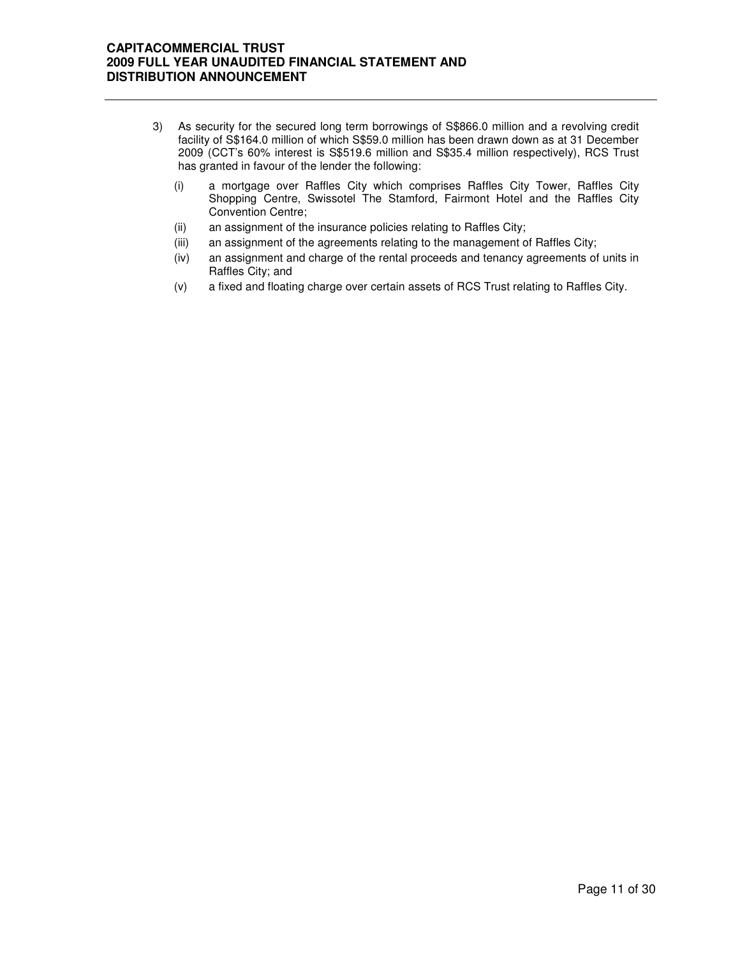- 3) As security for the secured long term borrowings of S\$866.0 million and a revolving credit facility of S\$164.0 million of which S\$59.0 million has been drawn down as at 31 December 2009 (CCT's 60% interest is S\$519.6 million and S\$35.4 million respectively), RCS Trust has granted in favour of the lender the following:
	- (i) a mortgage over Raffles City which comprises Raffles City Tower, Raffles City Shopping Centre, Swissotel The Stamford, Fairmont Hotel and the Raffles City Convention Centre;
	- (ii) an assignment of the insurance policies relating to Raffles City;
	- (iii) an assignment of the agreements relating to the management of Raffles City;
	- (iv) an assignment and charge of the rental proceeds and tenancy agreements of units in Raffles City; and
	- (v) a fixed and floating charge over certain assets of RCS Trust relating to Raffles City.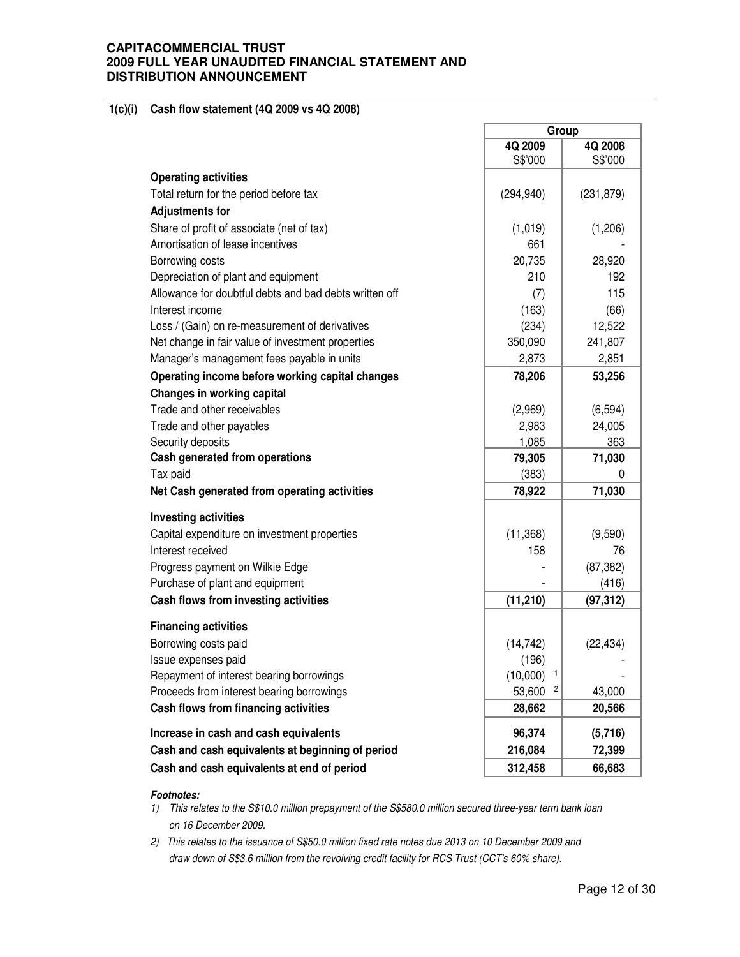### **1(c)(i) Cash flow statement (4Q 2009 vs 4Q 2008)**

|                                                        | Group         |            |  |
|--------------------------------------------------------|---------------|------------|--|
|                                                        | 4Q 2009       | 4Q 2008    |  |
|                                                        | S\$'000       | S\$'000    |  |
| <b>Operating activities</b>                            |               |            |  |
| Total return for the period before tax                 | (294, 940)    | (231, 879) |  |
| <b>Adjustments for</b>                                 |               |            |  |
| Share of profit of associate (net of tax)              | (1,019)       | (1,206)    |  |
| Amortisation of lease incentives                       | 661           |            |  |
| Borrowing costs                                        | 20,735        | 28,920     |  |
| Depreciation of plant and equipment                    | 210           | 192        |  |
| Allowance for doubtful debts and bad debts written off | (7)           | 115        |  |
| Interest income                                        | (163)         | (66)       |  |
| Loss / (Gain) on re-measurement of derivatives         | (234)         | 12,522     |  |
| Net change in fair value of investment properties      | 350,090       | 241,807    |  |
| Manager's management fees payable in units             | 2,873         | 2,851      |  |
| Operating income before working capital changes        | 78,206        | 53,256     |  |
| Changes in working capital                             |               |            |  |
| Trade and other receivables                            | (2,969)       | (6, 594)   |  |
| Trade and other payables                               | 2,983         | 24,005     |  |
| Security deposits                                      | 1,085         | 363        |  |
| Cash generated from operations                         | 79,305        | 71,030     |  |
| Tax paid                                               | (383)         | 0          |  |
| Net Cash generated from operating activities           | 78,922        | 71,030     |  |
| <b>Investing activities</b>                            |               |            |  |
| Capital expenditure on investment properties           | (11, 368)     | (9,590)    |  |
| Interest received                                      | 158           | 76         |  |
| Progress payment on Wilkie Edge                        |               | (87, 382)  |  |
| Purchase of plant and equipment                        |               | (416)      |  |
| Cash flows from investing activities                   | (11, 210)     | (97, 312)  |  |
|                                                        |               |            |  |
| <b>Financing activities</b>                            |               |            |  |
| Borrowing costs paid                                   | (14, 742)     | (22, 434)  |  |
| Issue expenses paid                                    | (196)         |            |  |
| Repayment of interest bearing borrowings               | (10,000)<br>1 |            |  |
| Proceeds from interest bearing borrowings              | 53,600<br>2   | 43,000     |  |
| Cash flows from financing activities                   | 28,662        | 20,566     |  |
| Increase in cash and cash equivalents                  | 96,374        | (5,716)    |  |
| Cash and cash equivalents at beginning of period       | 216,084       | 72,399     |  |
| Cash and cash equivalents at end of period             | 312,458       | 66,683     |  |

r

### **Footnotes:**

- 1) This relates to the S\$10.0 million prepayment of the S\$580.0 million secured three-year term bank loan on 16 December 2009.
- 2) This relates to the issuance of S\$50.0 million fixed rate notes due 2013 on 10 December 2009 and draw down of S\$3.6 million from the revolving credit facility for RCS Trust (CCT's 60% share).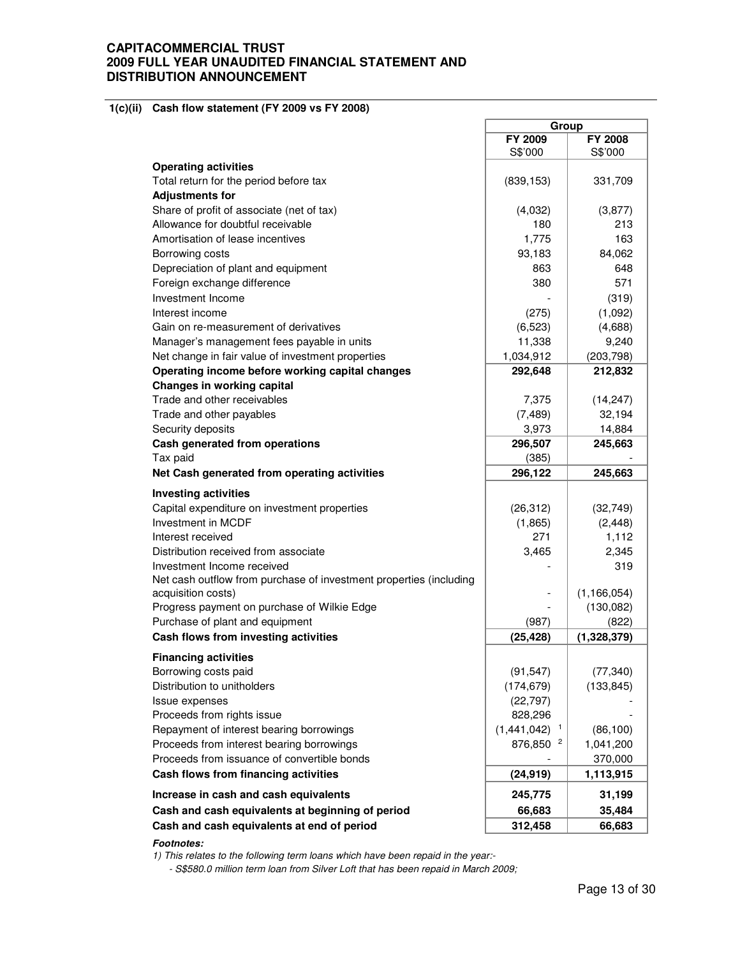### **1(c)(ii) Cash flow statement (FY 2009 vs FY 2008)**

|                                                                    | Group                |                |  |
|--------------------------------------------------------------------|----------------------|----------------|--|
|                                                                    | FY 2009              | <b>FY 2008</b> |  |
|                                                                    | S\$'000              | S\$'000        |  |
| <b>Operating activities</b>                                        |                      |                |  |
| Total return for the period before tax                             | (839, 153)           | 331,709        |  |
|                                                                    |                      |                |  |
| <b>Adjustments for</b>                                             |                      |                |  |
| Share of profit of associate (net of tax)                          | (4,032)              | (3,877)        |  |
| Allowance for doubtful receivable                                  | 180                  | 213            |  |
| Amortisation of lease incentives                                   | 1,775                | 163            |  |
| Borrowing costs                                                    | 93,183               | 84,062         |  |
| Depreciation of plant and equipment                                | 863                  | 648            |  |
| Foreign exchange difference                                        | 380                  | 571            |  |
| Investment Income                                                  |                      | (319)          |  |
| Interest income                                                    | (275)                | (1,092)        |  |
| Gain on re-measurement of derivatives                              | (6, 523)             | (4,688)        |  |
| Manager's management fees payable in units                         | 11,338               | 9,240          |  |
| Net change in fair value of investment properties                  | 1,034,912            | (203, 798)     |  |
| Operating income before working capital changes                    | 292,648              | 212,832        |  |
| Changes in working capital                                         |                      |                |  |
| Trade and other receivables                                        | 7,375                | (14, 247)      |  |
| Trade and other payables                                           | (7, 489)             | 32,194         |  |
| Security deposits                                                  | 3,973                | 14,884         |  |
| Cash generated from operations                                     | 296,507              | 245,663        |  |
| Tax paid                                                           | (385)                |                |  |
| Net Cash generated from operating activities                       | 296,122              | 245,663        |  |
|                                                                    |                      |                |  |
| <b>Investing activities</b>                                        |                      |                |  |
| Capital expenditure on investment properties                       | (26, 312)            | (32, 749)      |  |
| Investment in MCDF                                                 | (1,865)              | (2, 448)       |  |
| Interest received                                                  | 271                  | 1,112          |  |
| Distribution received from associate                               | 3,465                | 2,345          |  |
| Investment Income received                                         |                      | 319            |  |
| Net cash outflow from purchase of investment properties (including |                      |                |  |
| acquisition costs)                                                 |                      | (1, 166, 054)  |  |
| Progress payment on purchase of Wilkie Edge                        |                      | (130,082)      |  |
| Purchase of plant and equipment                                    | (987)                | (822)          |  |
| Cash flows from investing activities                               | (25, 428)            | (1,328,379)    |  |
|                                                                    |                      |                |  |
| <b>Financing activities</b>                                        |                      |                |  |
| Borrowing costs paid                                               | (91, 547)            | (77, 340)      |  |
| Distribution to unitholders                                        | (174, 679)           | (133, 845)     |  |
| Issue expenses                                                     | (22, 797)            |                |  |
| Proceeds from rights issue                                         | 828,296              |                |  |
| Repayment of interest bearing borrowings                           | $(1,441,042)^{-1}$   | (86, 100)      |  |
| Proceeds from interest bearing borrowings                          | 876,850 <sup>2</sup> | 1,041,200      |  |
| Proceeds from issuance of convertible bonds                        |                      | 370,000        |  |
| Cash flows from financing activities                               | (24, 919)            | 1,113,915      |  |
| Increase in cash and cash equivalents                              | 245,775              | 31,199         |  |
| Cash and cash equivalents at beginning of period                   | 66,683               | 35,484         |  |
| Cash and cash equivalents at end of period                         |                      |                |  |
|                                                                    | 312,458              | 66,683         |  |

### **Footnotes:**

1) This relates to the following term loans which have been repaid in the year:-

- S\$580.0 million term loan from Silver Loft that has been repaid in March 2009;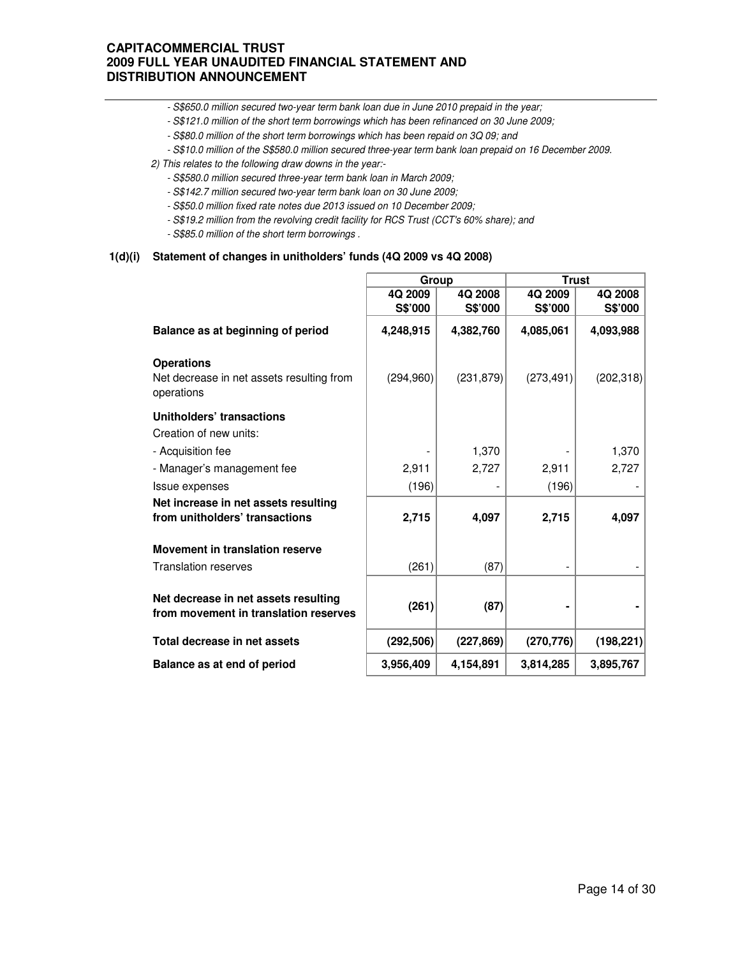- S\$650.0 million secured two-year term bank loan due in June 2010 prepaid in the year;
- S\$121.0 million of the short term borrowings which has been refinanced on 30 June 2009;
- S\$80.0 million of the short term borrowings which has been repaid on 3Q 09; and
- S\$10.0 million of the S\$580.0 million secured three-year term bank loan prepaid on 16 December 2009.
- 2) This relates to the following draw downs in the year:-
	- S\$580.0 million secured three-year term bank loan in March 2009;
	- S\$142.7 million secured two-year term bank loan on 30 June 2009;
	- S\$50.0 million fixed rate notes due 2013 issued on 10 December 2009;
	- S\$19.2 million from the revolving credit facility for RCS Trust (CCT's 60% share); and
	- S\$85.0 million of the short term borrowings .

### **1(d)(i) Statement of changes in unitholders' funds (4Q 2009 vs 4Q 2008)**

|                                                                               | Group      |            | <b>Trust</b> |            |
|-------------------------------------------------------------------------------|------------|------------|--------------|------------|
|                                                                               | 4Q 2009    | 4Q 2008    | 4Q 2009      | 4Q 2008    |
|                                                                               | S\$'000    | S\$'000    | S\$'000      | S\$'000    |
| Balance as at beginning of period                                             | 4,248,915  | 4,382,760  | 4,085,061    | 4,093,988  |
| <b>Operations</b>                                                             |            |            |              |            |
| Net decrease in net assets resulting from<br>operations                       | (294,960)  | (231, 879) | (273, 491)   | (202, 318) |
| Unitholders' transactions                                                     |            |            |              |            |
| Creation of new units:                                                        |            |            |              |            |
| - Acquisition fee                                                             |            | 1,370      |              | 1,370      |
| - Manager's management fee                                                    | 2,911      | 2,727      | 2,911        | 2,727      |
| Issue expenses                                                                | (196)      |            | (196)        |            |
| Net increase in net assets resulting                                          |            |            |              |            |
| from unitholders' transactions                                                | 2,715      | 4,097      | 2,715        | 4,097      |
| Movement in translation reserve                                               |            |            |              |            |
| <b>Translation reserves</b>                                                   | (261)      | (87)       |              |            |
| Net decrease in net assets resulting<br>from movement in translation reserves | (261)      | (87)       |              |            |
| Total decrease in net assets                                                  | (292, 506) | (227, 869) | (270, 776)   | (198, 221) |
| Balance as at end of period                                                   | 3,956,409  | 4,154,891  | 3,814,285    | 3,895,767  |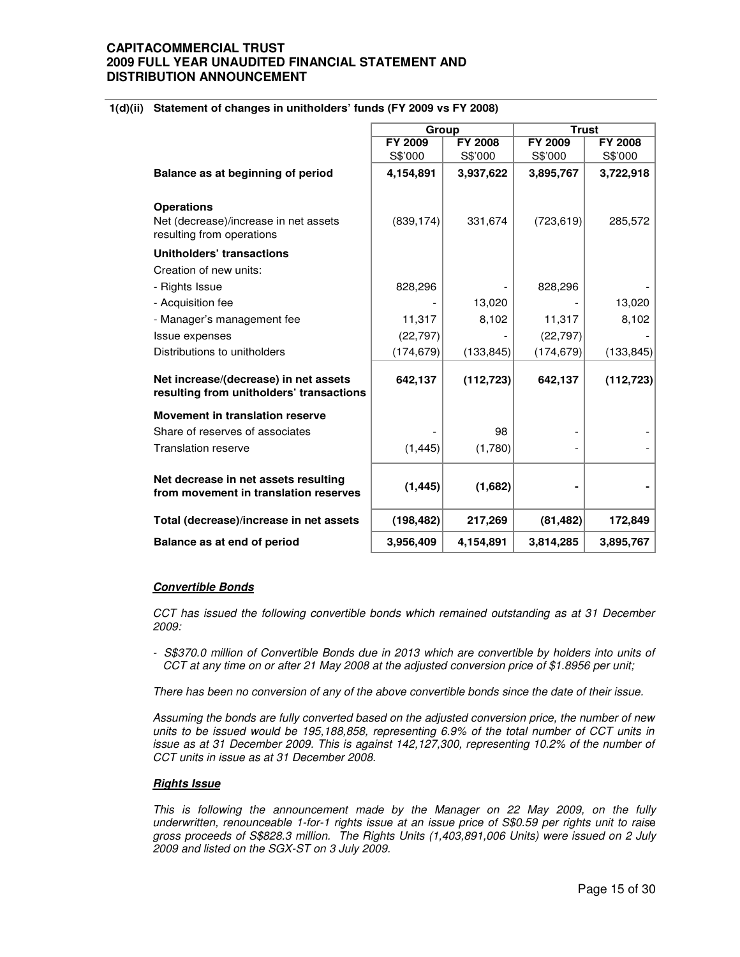## **1(d)(ii) Statement of changes in unitholders' funds (FY 2009 vs FY 2008)**

|                                                                                   | Group      |                | <b>Trust</b>   |                |
|-----------------------------------------------------------------------------------|------------|----------------|----------------|----------------|
|                                                                                   | FY 2009    | <b>FY 2008</b> | <b>FY 2009</b> | <b>FY 2008</b> |
|                                                                                   | S\$'000    | S\$'000        | S\$'000        | S\$'000        |
| Balance as at beginning of period                                                 | 4,154,891  | 3,937,622      | 3,895,767      | 3,722,918      |
| <b>Operations</b>                                                                 |            |                |                |                |
| Net (decrease)/increase in net assets<br>resulting from operations                | (839, 174) | 331,674        | (723, 619)     | 285,572        |
| Unitholders' transactions                                                         |            |                |                |                |
| Creation of new units:                                                            |            |                |                |                |
| - Rights Issue                                                                    | 828,296    |                | 828,296        |                |
| - Acquisition fee                                                                 |            | 13,020         |                | 13,020         |
| - Manager's management fee                                                        | 11,317     | 8,102          | 11,317         | 8,102          |
| <b>Issue expenses</b>                                                             | (22, 797)  |                | (22, 797)      |                |
| Distributions to unitholders                                                      | (174, 679) | (133, 845)     | (174, 679)     | (133, 845)     |
| Net increase/(decrease) in net assets<br>resulting from unitholders' transactions | 642,137    | (112, 723)     | 642,137        | (112, 723)     |
| Movement in translation reserve                                                   |            |                |                |                |
| Share of reserves of associates                                                   |            | 98             |                |                |
| <b>Translation reserve</b>                                                        | (1, 445)   | (1,780)        |                |                |
| Net decrease in net assets resulting<br>from movement in translation reserves     | (1, 445)   | (1,682)        |                |                |
| Total (decrease)/increase in net assets                                           | (198, 482) | 217,269        | (81, 482)      | 172,849        |
| Balance as at end of period                                                       | 3,956,409  | 4,154,891      | 3,814,285      | 3.895.767      |

### **Convertible Bonds**

CCT has issued the following convertible bonds which remained outstanding as at 31 December 2009:

- S\$370.0 million of Convertible Bonds due in 2013 which are convertible by holders into units of CCT at any time on or after 21 May 2008 at the adjusted conversion price of \$1.8956 per unit;

There has been no conversion of any of the above convertible bonds since the date of their issue.

Assuming the bonds are fully converted based on the adjusted conversion price, the number of new units to be issued would be 195,188,858, representing 6.9% of the total number of CCT units in issue as at 31 December 2009. This is against 142,127,300, representing 10.2% of the number of CCT units in issue as at 31 December 2008.

### **Rights Issue**

This is following the announcement made by the Manager on 22 May 2009, on the fully underwritten, renounceable 1-for-1 rights issue at an issue price of S\$0.59 per rights unit to raise gross proceeds of S\$828.3 million. The Rights Units (1,403,891,006 Units) were issued on 2 July 2009 and listed on the SGX-ST on 3 July 2009.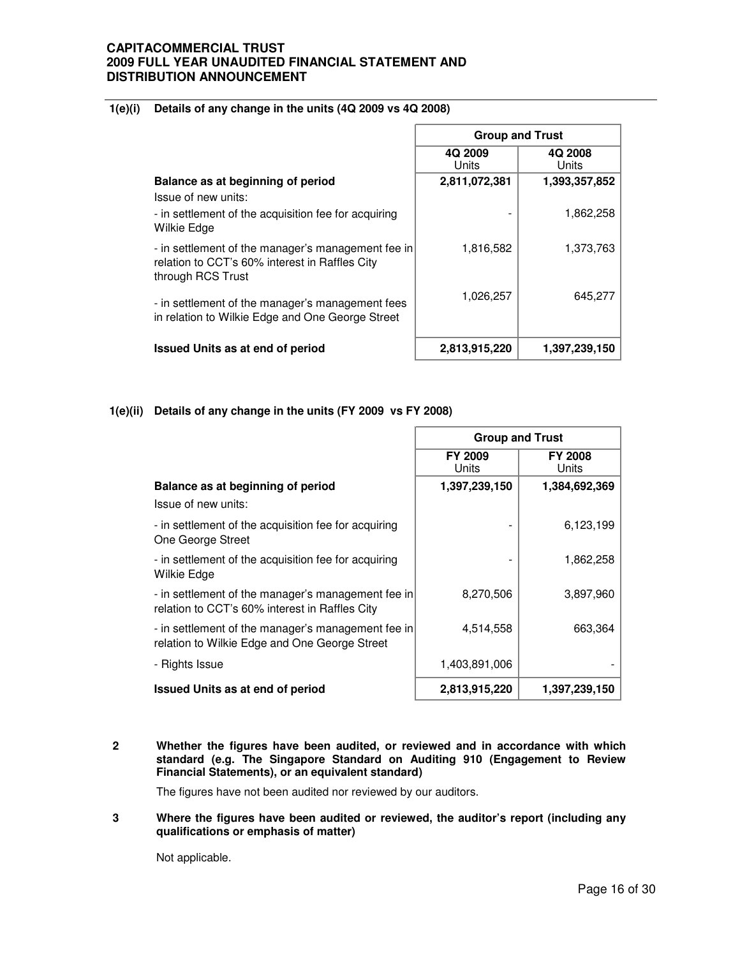## **1(e)(i) Details of any change in the units (4Q 2009 vs 4Q 2008)**

|                                                                                                                           | <b>Group and Trust</b> |                  |  |
|---------------------------------------------------------------------------------------------------------------------------|------------------------|------------------|--|
|                                                                                                                           | 4Q 2009<br>Units       | 4Q 2008<br>Units |  |
| Balance as at beginning of period                                                                                         | 2,811,072,381          | 1,393,357,852    |  |
| Issue of new units:                                                                                                       |                        |                  |  |
| - in settlement of the acquisition fee for acquiring<br>Wilkie Edge                                                       |                        | 1,862,258        |  |
| - in settlement of the manager's management fee in<br>relation to CCT's 60% interest in Raffles City<br>through RCS Trust | 1,816,582              | 1,373,763        |  |
| - in settlement of the manager's management fees<br>in relation to Wilkie Edge and One George Street                      | 1,026,257              | 645.277          |  |
| <b>Issued Units as at end of period</b>                                                                                   | 2,813,915,220          | 1,397,239,150    |  |

## **1(e)(ii) Details of any change in the units (FY 2009 vs FY 2008)**

|                                                                                                      | <b>Group and Trust</b>                             |               |  |
|------------------------------------------------------------------------------------------------------|----------------------------------------------------|---------------|--|
|                                                                                                      | <b>FY 2009</b><br><b>FY 2008</b><br>Units<br>Units |               |  |
| Balance as at beginning of period                                                                    | 1,397,239,150                                      | 1,384,692,369 |  |
| Issue of new units:                                                                                  |                                                    |               |  |
| - in settlement of the acquisition fee for acquiring<br>One George Street                            |                                                    | 6,123,199     |  |
| - in settlement of the acquisition fee for acquiring<br>Wilkie Edge                                  |                                                    | 1,862,258     |  |
| - in settlement of the manager's management fee in<br>relation to CCT's 60% interest in Raffles City | 8,270,506                                          | 3,897,960     |  |
| - in settlement of the manager's management fee in<br>relation to Wilkie Edge and One George Street  | 4,514,558                                          | 663,364       |  |
| - Rights Issue                                                                                       | 1,403,891,006                                      |               |  |
| <b>Issued Units as at end of period</b>                                                              | 2,813,915,220                                      | 1,397,239,150 |  |

**2 Whether the figures have been audited, or reviewed and in accordance with which standard (e.g. The Singapore Standard on Auditing 910 (Engagement to Review Financial Statements), or an equivalent standard)** 

The figures have not been audited nor reviewed by our auditors.

 $\overline{3}$ **3 Where the figures have been audited or reviewed, the auditor's report (including any qualifications or emphasis of matter)** 

Not applicable.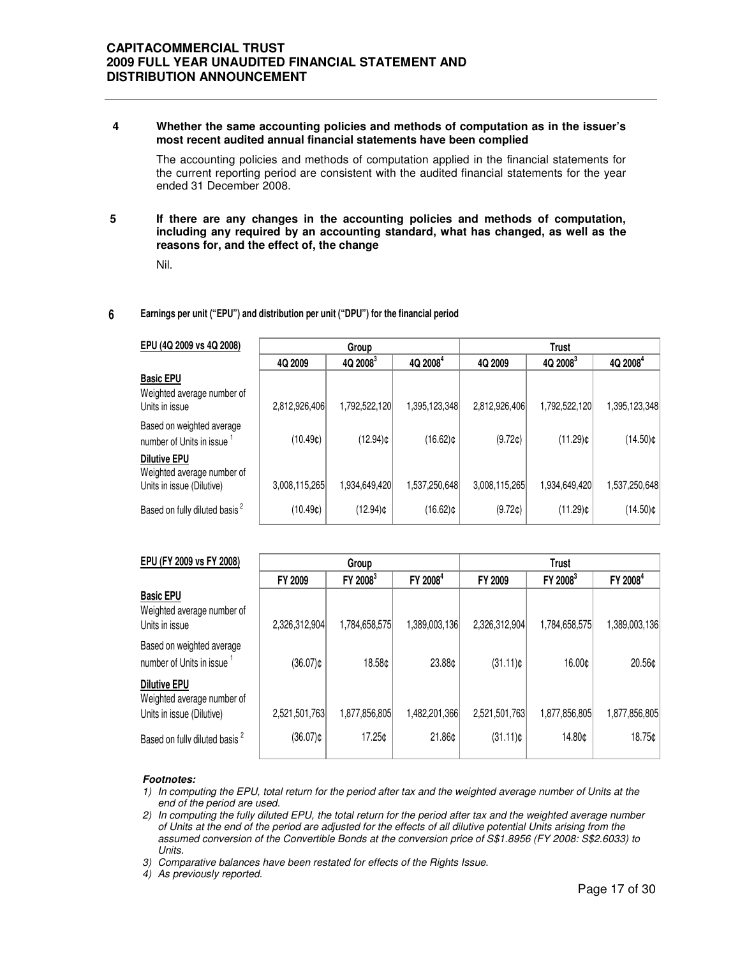### **4 Whether the same accounting policies and methods of computation as in the issuer's most recent audited annual financial statements have been complied**

The accounting policies and methods of computation applied in the financial statements for the current reporting period are consistent with the audited financial statements for the year ended 31 December 2008.

### **5 If there are any changes in the accounting policies and methods of computation, including any required by an accounting standard, what has changed, as well as the reasons for, and the effect of, the change**

Nil.

### **6 Earnings per unit ("EPU") and distribution per unit ("DPU") for the financial period**

| EPU (4Q 2009 vs 4Q 2008)                                                       | Group         |               | Trust                |               |                      |                      |
|--------------------------------------------------------------------------------|---------------|---------------|----------------------|---------------|----------------------|----------------------|
|                                                                                | 4Q 2009       | $4Q, 2008^3$  | 4Q 2008 <sup>4</sup> | 4Q 2009       | 4Q 2008 <sup>3</sup> | 4Q 2008 <sup>4</sup> |
| <b>Basic EPU</b><br>Weighted average number of<br>Units in issue               | 2,812,926,406 | 1,792,522,120 | 1,395,123,348        | 2,812,926,406 | 1,792,522,120        | 1,395,123,348        |
| Based on weighted average<br>number of Units in issue                          | (10.49c)      | $(12.94)$ ¢   | $(16.62)$ ¢          | (9.72c)       | $(11.29)$ ¢          | (14.50)¢             |
| <b>Dilutive EPU</b><br>Weighted average number of<br>Units in issue (Dilutive) | 3,008,115,265 | 1,934,649,420 | 1,537,250,648        | 3,008,115,265 | 1,934,649,420        | 1,537,250,648        |
| Based on fully diluted basis <sup>2</sup>                                      | (10.49c)      | $(12.94)$ ¢   | $(16.62)$ ¢          | (9.72c)       | (11.29)¢             | (14.50)¢             |

| EPU (FY 2009 vs FY 2008)                                                       |               | Group                |                      | <b>Trust</b>  |                      |                      |  |
|--------------------------------------------------------------------------------|---------------|----------------------|----------------------|---------------|----------------------|----------------------|--|
|                                                                                | FY 2009       | FY 2008 <sup>3</sup> | FY 2008 <sup>4</sup> | FY 2009       | FY 2008 <sup>3</sup> | FY 2008 <sup>4</sup> |  |
| <b>Basic EPU</b><br>Weighted average number of<br>Units in issue               | 2,326,312,904 | 1,784,658,575        | 1,389,003,136        | 2,326,312,904 | 1,784,658,575        | 1,389,003,136        |  |
| Based on weighted average<br>number of Units in issue                          | $(36.07)$ ¢   | 18.58¢               | 23.88¢               | $(31.11)$ ¢   | 16.00¢               | 20.56¢               |  |
| <b>Dilutive EPU</b><br>Weighted average number of<br>Units in issue (Dilutive) | 2,521,501,763 | 1,877,856,805        | 1,482,201,366        | 2,521,501,763 | 1,877,856,805        | 1,877,856,805        |  |
| Based on fully diluted basis <sup>2</sup>                                      | $(36.07)$ ¢   | 17.25¢               | 21.86¢               | $(31.11)$ ¢   | 14.80¢               | 18.75¢               |  |

### **Footnotes:**

- 1) In computing the EPU, total return for the period after tax and the weighted average number of Units at the end of the period are used.
- 2) In computing the fully diluted EPU, the total return for the period after tax and the weighted average number of Units at the end of the period are adjusted for the effects of all dilutive potential Units arising from the assumed conversion of the Convertible Bonds at the conversion price of S\$1.8956 (FY 2008: S\$2.6033) to Units.

3) Comparative balances have been restated for effects of the Rights Issue.

4) As previously reported.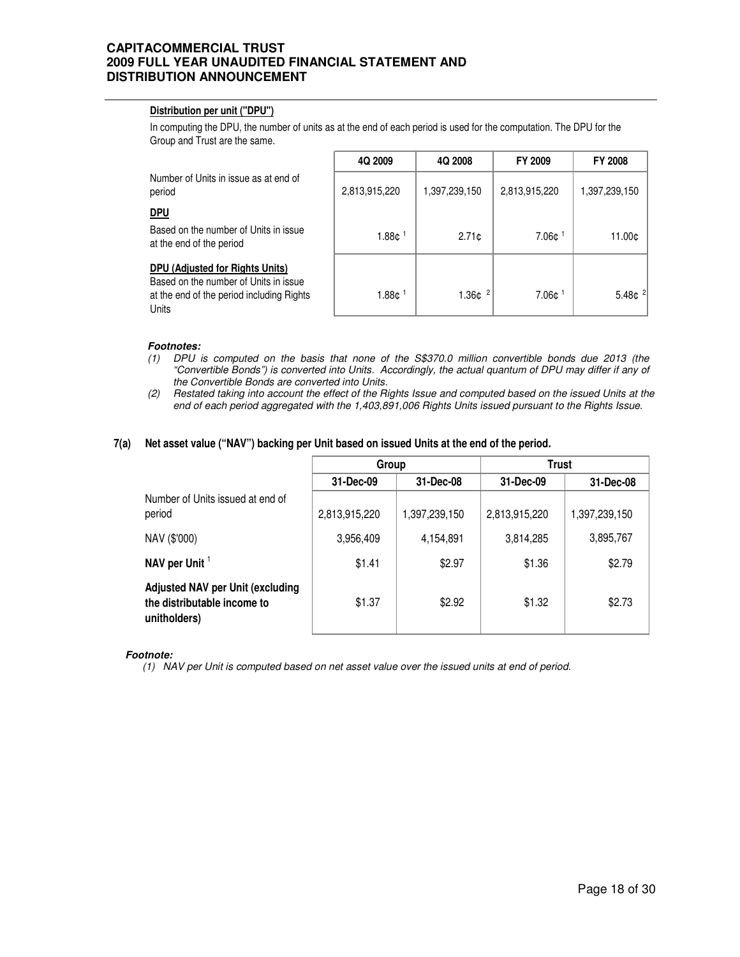### **Distribution per unit ("DPU")**

In computing the DPU, the number of units as at the end of each period is used for the computation. The DPU for the Group and Trust are the same.

|                                                                                                                                | 4Q 2009           | 4Q 2008       | FY 2009           | <b>FY 2008</b> |
|--------------------------------------------------------------------------------------------------------------------------------|-------------------|---------------|-------------------|----------------|
| Number of Units in issue as at end of<br>period                                                                                | 2,813,915,220     | 1,397,239,150 | 2,813,915,220     | 1,397,239,150  |
| <u>DPU</u>                                                                                                                     |                   |               |                   |                |
| Based on the number of Units in issue<br>at the end of the period                                                              | 1.88 <sub>¢</sub> | 2.71c         | 7.06 <sub>¢</sub> | 11.00¢         |
| DPU (Adjusted for Rights Units)<br>Based on the number of Units in issue<br>at the end of the period including Rights<br>Units | 1.88 <sub>0</sub> | 1.36¢         | 7.06¢             | 5.48 $ ^{2}$   |

### **Footnotes:**

- (1) DPU is computed on the basis that none of the S\$370.0 million convertible bonds due 2013 (the "Convertible Bonds") is converted into Units. Accordingly, the actual quantum of DPU may differ if any of the Convertible Bonds are converted into Units.
- (2) Restated taking into account the effect of the Rights Issue and computed based on the issued Units at the end of each period aggregated with the 1,403,891,006 Rights Units issued pursuant to the Rights Issue.

#### **7(a) Net asset value ("NAV") backing per Unit based on issued Units at the end of the period.**

|                                                                                        | Group         |               | Trust         |               |
|----------------------------------------------------------------------------------------|---------------|---------------|---------------|---------------|
|                                                                                        | 31-Dec-09     | 31-Dec-08     | 31-Dec-09     | 31-Dec-08     |
| Number of Units issued at end of<br>period                                             | 2,813,915,220 | 1,397,239,150 | 2,813,915,220 | 1,397,239,150 |
| NAV (\$'000)                                                                           | 3,956,409     | 4,154,891     | 3,814,285     | 3,895,767     |
| NAV per Unit <sup>1</sup>                                                              | \$1.41        | \$2.97        | \$1.36        | \$2.79        |
| <b>Adjusted NAV per Unit (excluding</b><br>the distributable income to<br>unitholders) | \$1.37        | \$2.92        | \$1.32        | \$2.73        |

### **Footnote:**

(1) NAV per Unit is computed based on net asset value over the issued units at end of period.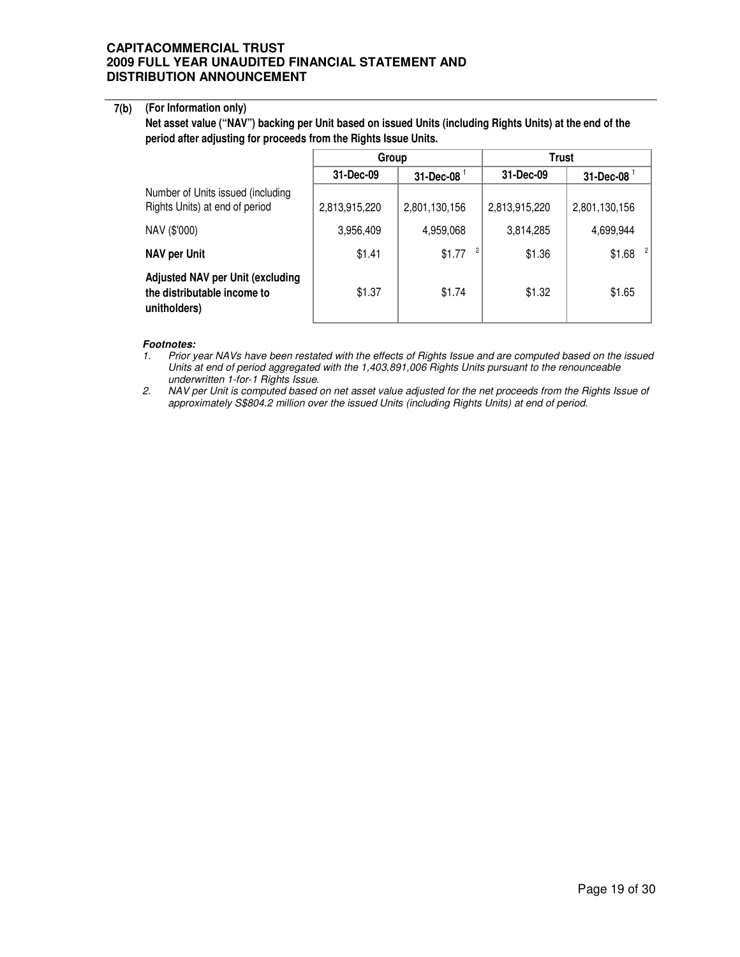### **7(b) (For Information only)**

**Net asset value ("NAV") backing per Unit based on issued Units (including Rights Units) at the end of the period after adjusting for proceeds from the Rights Issue Units.** 

|                                                                                        | Group         |                      | Trust         |                  |
|----------------------------------------------------------------------------------------|---------------|----------------------|---------------|------------------|
|                                                                                        | 31-Dec-09     | $31$ -Dec-08 $^{-1}$ | 31-Dec-09     | $31$ -Dec-08 $1$ |
| Number of Units issued (including<br>Rights Units) at end of period                    | 2,813,915,220 | 2,801,130,156        | 2,813,915,220 | 2,801,130,156    |
| NAV (\$'000)                                                                           | 3,956,409     | 4,959,068            | 3,814,285     | 4,699,944        |
| <b>NAV per Unit</b>                                                                    | \$1.41        | \$1.77               | \$1.36        | -2<br>\$1.68     |
| <b>Adjusted NAV per Unit (excluding</b><br>the distributable income to<br>unitholders) | \$1.37        | \$1.74               | \$1.32        | \$1.65           |

### **Footnotes:**

1. Prior year NAVs have been restated with the effects of Rights Issue and are computed based on the issued Units at end of period aggregated with the 1,403,891,006 Rights Units pursuant to the renounceable underwritten 1-for-1 Rights Issue.

2. NAV per Unit is computed based on net asset value adjusted for the net proceeds from the Rights Issue of approximately S\$804.2 million over the issued Units (including Rights Units) at end of period.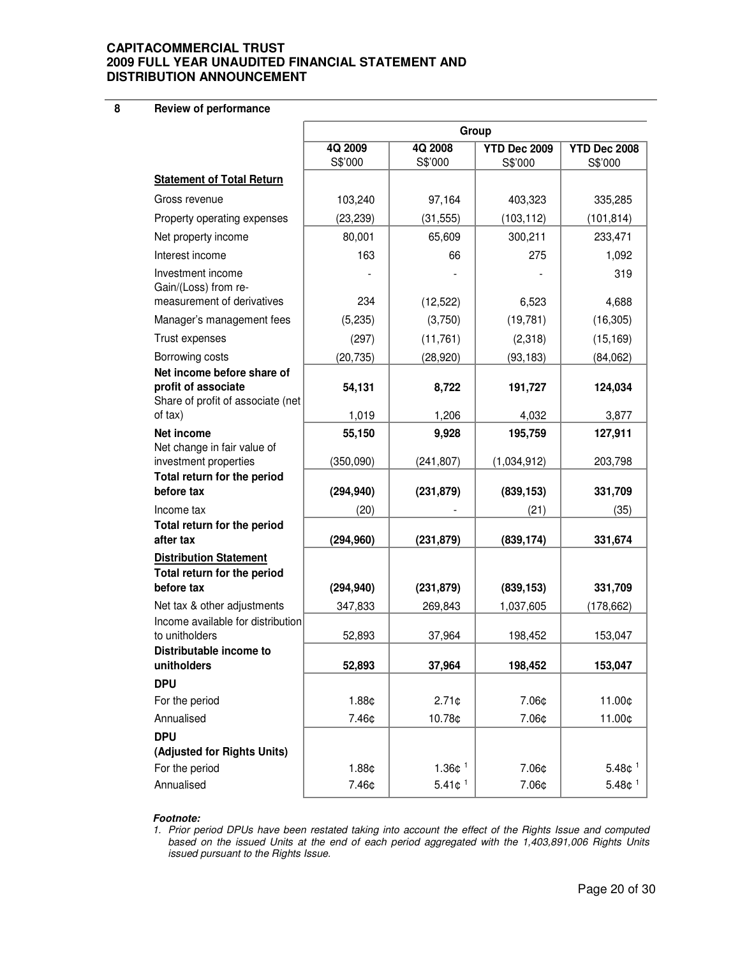**8 Review of performance**

|                                                                         | Group              |                       |                         |                         |
|-------------------------------------------------------------------------|--------------------|-----------------------|-------------------------|-------------------------|
|                                                                         | 4Q 2009<br>S\$'000 | 4Q 2008<br>S\$'000    | YTD Dec 2009<br>S\$'000 | YTD Dec 2008<br>S\$'000 |
| <b>Statement of Total Return</b>                                        |                    |                       |                         |                         |
| Gross revenue                                                           | 103,240            | 97,164                | 403,323                 | 335,285                 |
| Property operating expenses                                             | (23, 239)          | (31, 555)             | (103, 112)              | (101, 814)              |
| Net property income                                                     | 80,001             | 65,609                | 300,211                 | 233,471                 |
| Interest income                                                         | 163                | 66                    | 275                     | 1,092                   |
| Investment income<br>Gain/(Loss) from re-<br>measurement of derivatives | 234                | (12, 522)             | 6,523                   | 319<br>4,688            |
| Manager's management fees                                               | (5,235)            | (3,750)               | (19, 781)               | (16, 305)               |
| Trust expenses                                                          | (297)              | (11, 761)             | (2,318)                 | (15, 169)               |
| Borrowing costs                                                         | (20, 735)          | (28, 920)             | (93, 183)               | (84,062)                |
| Net income before share of                                              |                    |                       |                         |                         |
| profit of associate<br>Share of profit of associate (net                | 54,131             | 8,722                 | 191,727                 | 124,034                 |
| of tax)                                                                 | 1,019              | 1,206                 | 4,032                   | 3,877                   |
| <b>Net income</b>                                                       | 55,150             | 9,928                 | 195,759                 | 127,911                 |
| Net change in fair value of<br>investment properties                    | (350,090)          | (241, 807)            | (1,034,912)             | 203,798                 |
| Total return for the period                                             |                    |                       |                         |                         |
| before tax                                                              | (294, 940)         | (231, 879)            | (839, 153)              | 331,709                 |
| Income tax                                                              | (20)               |                       | (21)                    | (35)                    |
| Total return for the period<br>after tax                                | (294, 960)         | (231, 879)            | (839, 174)              | 331,674                 |
| <b>Distribution Statement</b>                                           |                    |                       |                         |                         |
| Total return for the period                                             |                    |                       |                         |                         |
| before tax                                                              | (294, 940)         | (231, 879)            | (839, 153)              | 331,709                 |
| Net tax & other adjustments<br>Income available for distribution        | 347,833            | 269,843               | 1,037,605               | (178, 662)              |
| to unitholders                                                          | 52,893             | 37,964                | 198,452                 | 153,047                 |
| Distributable income to                                                 |                    |                       |                         |                         |
| unitholders                                                             | 52,893             | 37,964                | 198,452                 | 153,047                 |
| <b>DPU</b>                                                              |                    |                       |                         |                         |
| For the period                                                          | 1.88¢              | $2.71$ ¢              | 7.06¢                   | 11.00¢                  |
| Annualised                                                              | 7.46¢              | 10.78¢                | 7.06¢                   | 11.00¢                  |
| <b>DPU</b>                                                              |                    |                       |                         |                         |
| (Adjusted for Rights Units)<br>For the period                           | 1.88¢              | 1.36 $¢$ <sup>1</sup> | 7.06¢                   | 5.48c <sup>1</sup>      |
| Annualised                                                              | 7.46¢              | 5.41c <sup>1</sup>    | 7.06¢                   | 5.48¢ <sup>1</sup>      |
|                                                                         |                    |                       |                         |                         |

### **Footnote:**

1. Prior period DPUs have been restated taking into account the effect of the Rights Issue and computed based on the issued Units at the end of each period aggregated with the 1,403,891,006 Rights Units issued pursuant to the Rights Issue.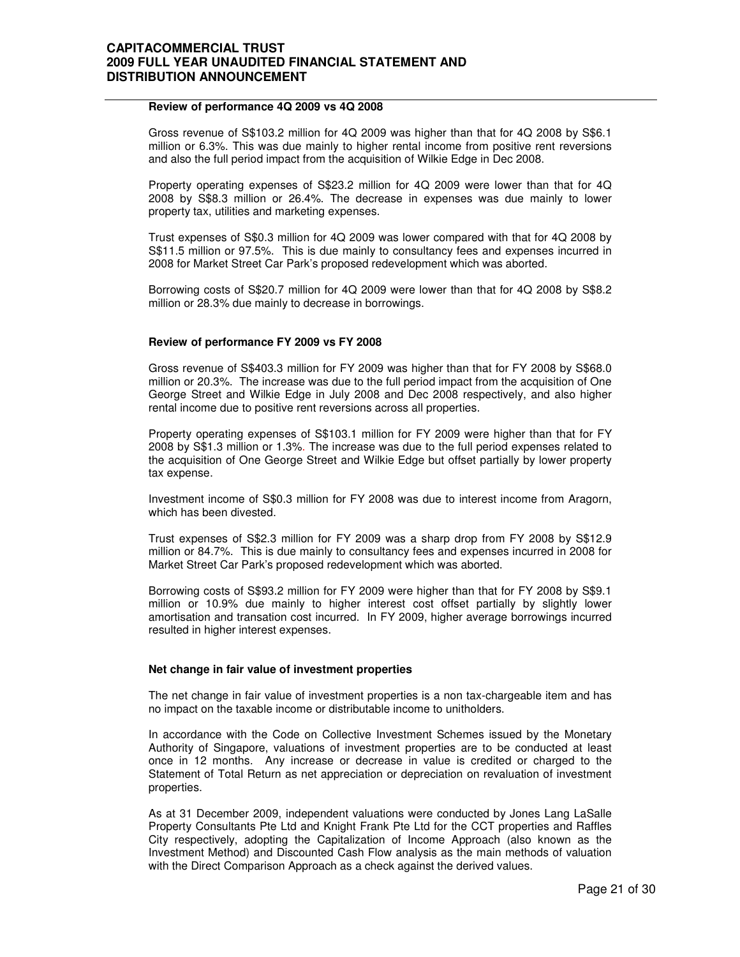### **Review of performance 4Q 2009 vs 4Q 2008**

 Gross revenue of S\$103.2 million for 4Q 2009 was higher than that for 4Q 2008 by S\$6.1 million or 6.3%. This was due mainly to higher rental income from positive rent reversions and also the full period impact from the acquisition of Wilkie Edge in Dec 2008.

Property operating expenses of S\$23.2 million for 4Q 2009 were lower than that for 4Q 2008 by S\$8.3 million or 26.4%. The decrease in expenses was due mainly to lower property tax, utilities and marketing expenses.

Trust expenses of S\$0.3 million for 4Q 2009 was lower compared with that for 4Q 2008 by S\$11.5 million or 97.5%. This is due mainly to consultancy fees and expenses incurred in 2008 for Market Street Car Park's proposed redevelopment which was aborted.

Borrowing costs of S\$20.7 million for 4Q 2009 were lower than that for 4Q 2008 by S\$8.2 million or 28.3% due mainly to decrease in borrowings.

### **Review of performance FY 2009 vs FY 2008**

Gross revenue of S\$403.3 million for FY 2009 was higher than that for FY 2008 by S\$68.0 million or 20.3%. The increase was due to the full period impact from the acquisition of One George Street and Wilkie Edge in July 2008 and Dec 2008 respectively, and also higher rental income due to positive rent reversions across all properties.

Property operating expenses of S\$103.1 million for FY 2009 were higher than that for FY 2008 by S\$1.3 million or 1.3%. The increase was due to the full period expenses related to the acquisition of One George Street and Wilkie Edge but offset partially by lower property tax expense.

Investment income of S\$0.3 million for FY 2008 was due to interest income from Aragorn, which has been divested.

Trust expenses of S\$2.3 million for FY 2009 was a sharp drop from FY 2008 by S\$12.9 million or 84.7%. This is due mainly to consultancy fees and expenses incurred in 2008 for Market Street Car Park's proposed redevelopment which was aborted.

Borrowing costs of S\$93.2 million for FY 2009 were higher than that for FY 2008 by S\$9.1 million or 10.9% due mainly to higher interest cost offset partially by slightly lower amortisation and transation cost incurred. In FY 2009, higher average borrowings incurred resulted in higher interest expenses.

### **Net change in fair value of investment properties**

The net change in fair value of investment properties is a non tax-chargeable item and has no impact on the taxable income or distributable income to unitholders.

In accordance with the Code on Collective Investment Schemes issued by the Monetary Authority of Singapore, valuations of investment properties are to be conducted at least once in 12 months. Any increase or decrease in value is credited or charged to the Statement of Total Return as net appreciation or depreciation on revaluation of investment properties.

As at 31 December 2009, independent valuations were conducted by Jones Lang LaSalle Property Consultants Pte Ltd and Knight Frank Pte Ltd for the CCT properties and Raffles City respectively, adopting the Capitalization of Income Approach (also known as the Investment Method) and Discounted Cash Flow analysis as the main methods of valuation with the Direct Comparison Approach as a check against the derived values.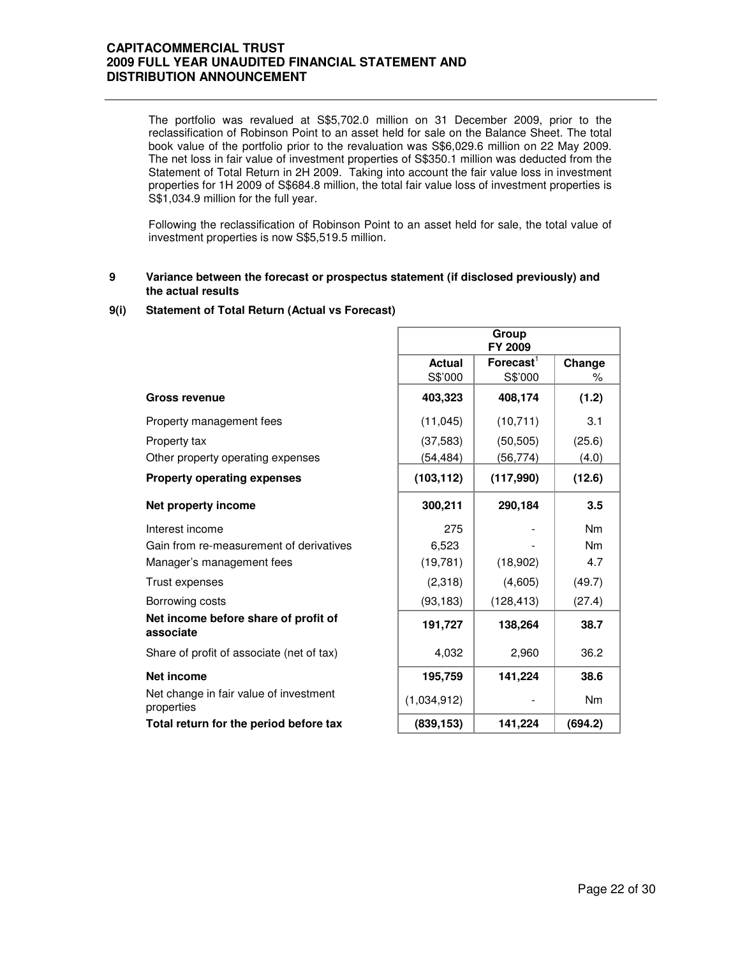The portfolio was revalued at S\$5,702.0 million on 31 December 2009, prior to the reclassification of Robinson Point to an asset held for sale on the Balance Sheet. The total book value of the portfolio prior to the revaluation was S\$6,029.6 million on 22 May 2009. The net loss in fair value of investment properties of S\$350.1 million was deducted from the Statement of Total Return in 2H 2009. Taking into account the fair value loss in investment properties for 1H 2009 of S\$684.8 million, the total fair value loss of investment properties is S\$1,034.9 million for the full year.

Following the reclassification of Robinson Point to an asset held for sale, the total value of investment properties is now S\$5,519.5 million.

#### **9 Variance between the forecast or prospectus statement (if disclosed previously) and the actual results**

### **9(i) Statement of Total Return (Actual vs Forecast)**

|                                                      |               | Group<br>FY 2009      |                |
|------------------------------------------------------|---------------|-----------------------|----------------|
|                                                      | <b>Actual</b> | $\mathsf{Forecast}^1$ | Change         |
|                                                      | S\$'000       | S\$'000               | ℅              |
| <b>Gross revenue</b>                                 | 403,323       | 408,174               | (1.2)          |
| Property management fees                             | (11, 045)     | (10, 711)             | 3.1            |
| Property tax                                         | (37, 583)     | (50, 505)             | (25.6)         |
| Other property operating expenses                    | (54,484)      | (56,774)              | (4.0)          |
| <b>Property operating expenses</b>                   | (103, 112)    | (117,990)             | (12.6)         |
| Net property income                                  | 300,211       | 290,184               | 3.5            |
| Interest income                                      | 275           |                       | N <sub>m</sub> |
| Gain from re-measurement of derivatives              | 6,523         |                       | N <sub>m</sub> |
| Manager's management fees                            | (19, 781)     | (18,902)              | 4.7            |
| Trust expenses                                       | (2,318)       | (4,605)               | (49.7)         |
| Borrowing costs                                      | (93, 183)     | (128, 413)            | (27.4)         |
| Net income before share of profit of<br>associate    | 191,727       | 138,264               | 38.7           |
| Share of profit of associate (net of tax)            | 4,032         | 2,960                 | 36.2           |
| Net income                                           | 195,759       | 141,224               | 38.6           |
| Net change in fair value of investment<br>properties | (1,034,912)   |                       | <b>Nm</b>      |
| Total return for the period before tax               | (839, 153)    | 141,224               | (694.2)        |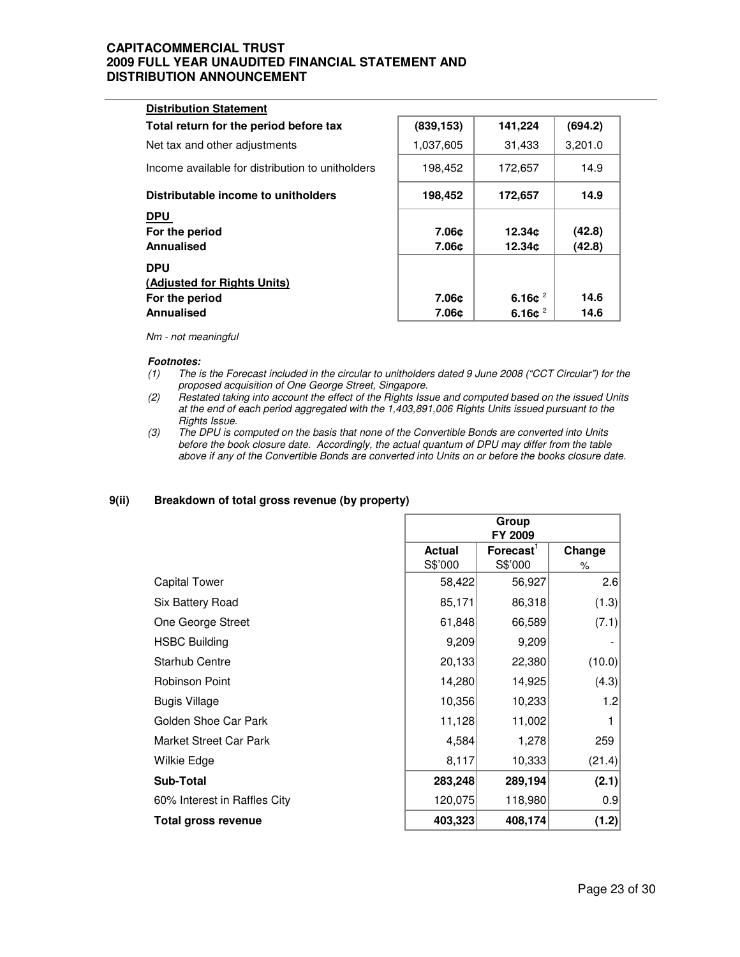| (839, 153)<br>141,224<br>Total return for the period before tax<br>31,433<br>1,037,605<br>Net tax and other adjustments<br>Income available for distribution to unitholders<br>198,452<br>172,657<br>Distributable income to unitholders<br>198,452<br>172,657 |
|----------------------------------------------------------------------------------------------------------------------------------------------------------------------------------------------------------------------------------------------------------------|
|                                                                                                                                                                                                                                                                |
|                                                                                                                                                                                                                                                                |
|                                                                                                                                                                                                                                                                |
|                                                                                                                                                                                                                                                                |
| For the period<br>7.06c<br>12.34¢<br>7.06c<br>12.34c                                                                                                                                                                                                           |
| (Adjusted for Rights Units)<br>6.16 $c^2$<br>7.06c<br>For the period<br>6.16 $e^2$<br>7.06¢                                                                                                                                                                    |
|                                                                                                                                                                                                                                                                |

Nm - not meaningful

### **Footnotes:**

- (1) The is the Forecast included in the circular to unitholders dated 9 June 2008 ("CCT Circular") for the proposed acquisition of One George Street, Singapore.
- (2) Restated taking into account the effect of the Rights Issue and computed based on the issued Units at the end of each period aggregated with the 1,403,891,006 Rights Units issued pursuant to the Rights Issue.
- (3) The DPU is computed on the basis that none of the Convertible Bonds are converted into Units before the book closure date. Accordingly, the actual quantum of DPU may differ from the table above if any of the Convertible Bonds are converted into Units on or before the books closure date.

### **9(ii) Breakdown of total gross revenue (by property)**

|                              | Group<br>FY 2009 |                          |        |
|------------------------------|------------------|--------------------------|--------|
|                              | <b>Actual</b>    | $F$ orecast $^{\dagger}$ | Change |
|                              | S\$'000          | S\$'000                  | %      |
| <b>Capital Tower</b>         | 58,422           | 56,927                   | 2.6    |
| Six Battery Road             | 85,171           | 86,318                   | (1.3)  |
| One George Street            | 61,848           | 66,589                   | (7.1)  |
| <b>HSBC Building</b>         | 9,209            | 9,209                    |        |
| <b>Starhub Centre</b>        | 20,133           | 22,380                   | (10.0) |
| Robinson Point               | 14,280           | 14,925                   | (4.3)  |
| <b>Bugis Village</b>         | 10,356           | 10,233                   | 1.2    |
| Golden Shoe Car Park         | 11,128           | 11,002                   |        |
| Market Street Car Park       | 4,584            | 1,278                    | 259    |
| Wilkie Edge                  | 8,117            | 10,333                   | (21.4) |
| <b>Sub-Total</b>             | 283,248          | 289,194                  | (2.1)  |
| 60% Interest in Raffles City | 120,075          | 118,980                  | 0.9    |
| Total gross revenue          | 403,323          | 408,174                  | (1.2)  |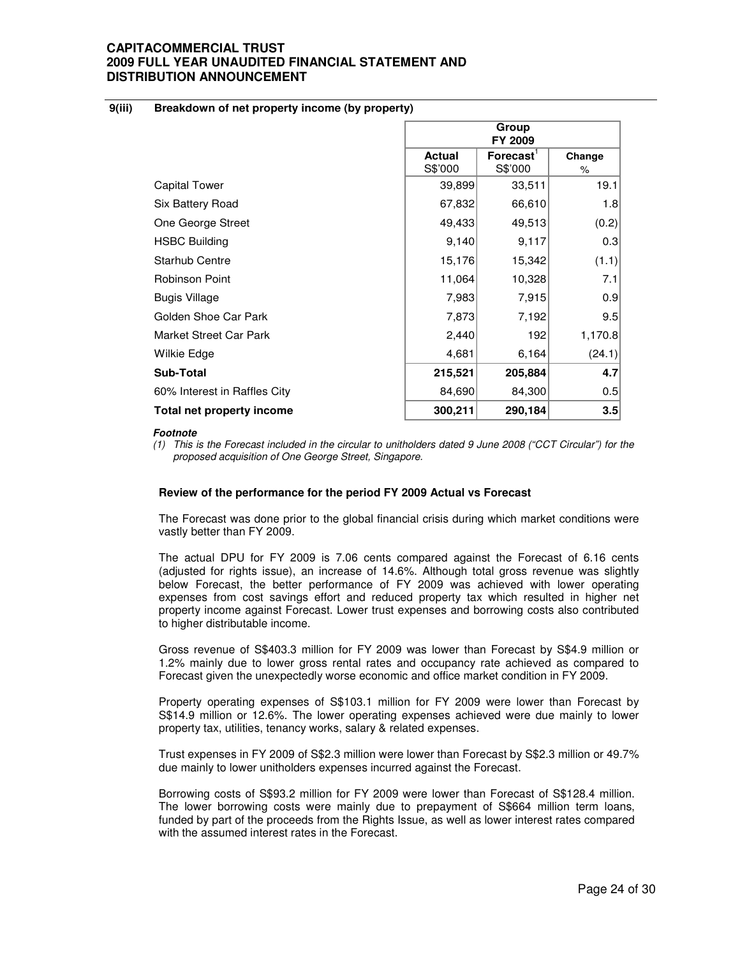### **9(iii) Breakdown of net property income (by property)**

|                              | Group<br>FY 2009 |                       |         |
|------------------------------|------------------|-----------------------|---------|
|                              | <b>Actual</b>    | Forecast <sup>'</sup> | Change  |
|                              | S\$'000          | S\$'000               | ℅       |
| <b>Capital Tower</b>         | 39,899           | 33,511                | 19.1    |
| Six Battery Road             | 67,832           | 66,610                | 1.8     |
| One George Street            | 49,433           | 49,513                | (0.2)   |
| <b>HSBC Building</b>         | 9,140            | 9,117                 | 0.3     |
| <b>Starhub Centre</b>        | 15,176           | 15,342                | (1.1)   |
| <b>Robinson Point</b>        | 11,064           | 10,328                | 7.1     |
| Bugis Village                | 7,983            | 7,915                 | 0.9     |
| Golden Shoe Car Park         | 7,873            | 7,192                 | 9.5     |
| Market Street Car Park       | 2,440            | 192                   | 1,170.8 |
| Wilkie Edge                  | 4,681            | 6,164                 | (24.1)  |
| <b>Sub-Total</b>             | 215,521          | 205,884               | 4.7     |
| 60% Interest in Raffles City | 84,690           | 84,300                | 0.5     |
| Total net property income    | 300,211          | 290,184               | 3.5     |

### **Footnote**

(1) This is the Forecast included in the circular to unitholders dated 9 June 2008 ("CCT Circular") for the proposed acquisition of One George Street, Singapore.

### **Review of the performance for the period FY 2009 Actual vs Forecast**

The Forecast was done prior to the global financial crisis during which market conditions were vastly better than FY 2009.

The actual DPU for FY 2009 is 7.06 cents compared against the Forecast of 6.16 cents (adjusted for rights issue), an increase of 14.6%. Although total gross revenue was slightly below Forecast, the better performance of FY 2009 was achieved with lower operating expenses from cost savings effort and reduced property tax which resulted in higher net property income against Forecast. Lower trust expenses and borrowing costs also contributed to higher distributable income.

Gross revenue of S\$403.3 million for FY 2009 was lower than Forecast by S\$4.9 million or 1.2% mainly due to lower gross rental rates and occupancy rate achieved as compared to Forecast given the unexpectedly worse economic and office market condition in FY 2009.

Property operating expenses of S\$103.1 million for FY 2009 were lower than Forecast by S\$14.9 million or 12.6%. The lower operating expenses achieved were due mainly to lower property tax, utilities, tenancy works, salary & related expenses.

Trust expenses in FY 2009 of S\$2.3 million were lower than Forecast by S\$2.3 million or 49.7% due mainly to lower unitholders expenses incurred against the Forecast.

Borrowing costs of S\$93.2 million for FY 2009 were lower than Forecast of S\$128.4 million. The lower borrowing costs were mainly due to prepayment of S\$664 million term loans, funded by part of the proceeds from the Rights Issue, as well as lower interest rates compared with the assumed interest rates in the Forecast.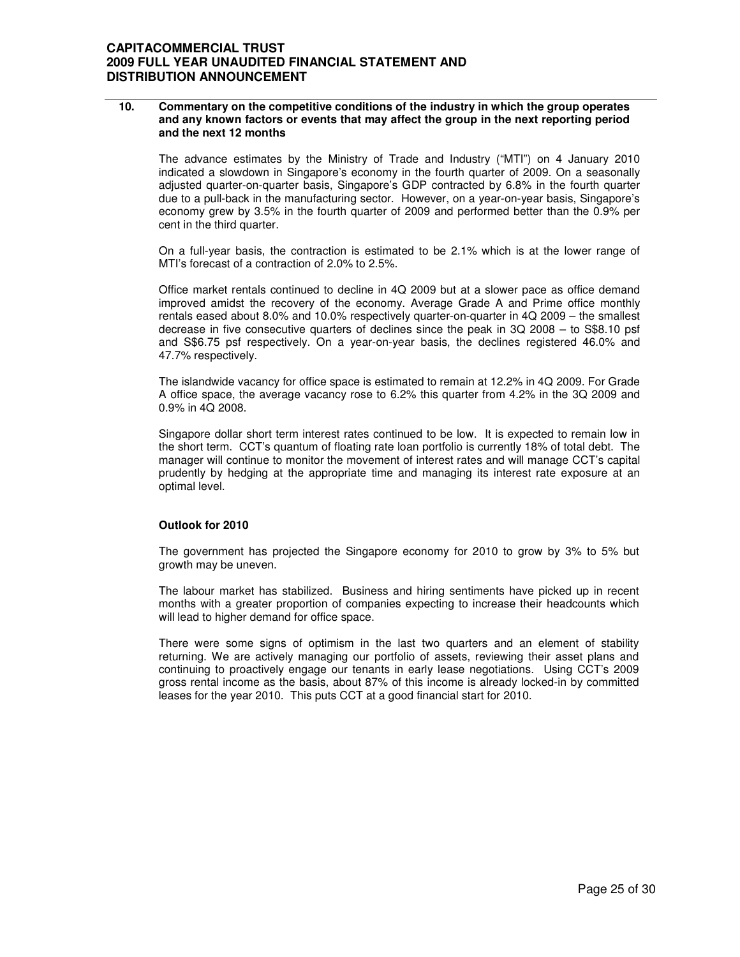### **10. Commentary on the competitive conditions of the industry in which the group operates and any known factors or events that may affect the group in the next reporting period and the next 12 months**

The advance estimates by the Ministry of Trade and Industry ("MTI") on 4 January 2010 indicated a slowdown in Singapore's economy in the fourth quarter of 2009. On a seasonally adjusted quarter-on-quarter basis, Singapore's GDP contracted by 6.8% in the fourth quarter due to a pull-back in the manufacturing sector. However, on a year-on-year basis, Singapore's economy grew by 3.5% in the fourth quarter of 2009 and performed better than the 0.9% per cent in the third quarter.

On a full-year basis, the contraction is estimated to be 2.1% which is at the lower range of MTI's forecast of a contraction of 2.0% to 2.5%.

Office market rentals continued to decline in 4Q 2009 but at a slower pace as office demand improved amidst the recovery of the economy. Average Grade A and Prime office monthly rentals eased about 8.0% and 10.0% respectively quarter-on-quarter in 4Q 2009 – the smallest decrease in five consecutive quarters of declines since the peak in 3Q 2008 – to S\$8.10 psf and S\$6.75 psf respectively. On a year-on-year basis, the declines registered 46.0% and 47.7% respectively.

The islandwide vacancy for office space is estimated to remain at 12.2% in 4Q 2009. For Grade A office space, the average vacancy rose to 6.2% this quarter from 4.2% in the 3Q 2009 and 0.9% in 4Q 2008.

Singapore dollar short term interest rates continued to be low. It is expected to remain low in the short term. CCT's quantum of floating rate loan portfolio is currently 18% of total debt. The manager will continue to monitor the movement of interest rates and will manage CCT's capital prudently by hedging at the appropriate time and managing its interest rate exposure at an optimal level.

### **Outlook for 2010**

The government has projected the Singapore economy for 2010 to grow by 3% to 5% but growth may be uneven.

The labour market has stabilized. Business and hiring sentiments have picked up in recent months with a greater proportion of companies expecting to increase their headcounts which will lead to higher demand for office space.

There were some signs of optimism in the last two quarters and an element of stability returning. We are actively managing our portfolio of assets, reviewing their asset plans and continuing to proactively engage our tenants in early lease negotiations. Using CCT's 2009 gross rental income as the basis, about 87% of this income is already locked-in by committed leases for the year 2010. This puts CCT at a good financial start for 2010.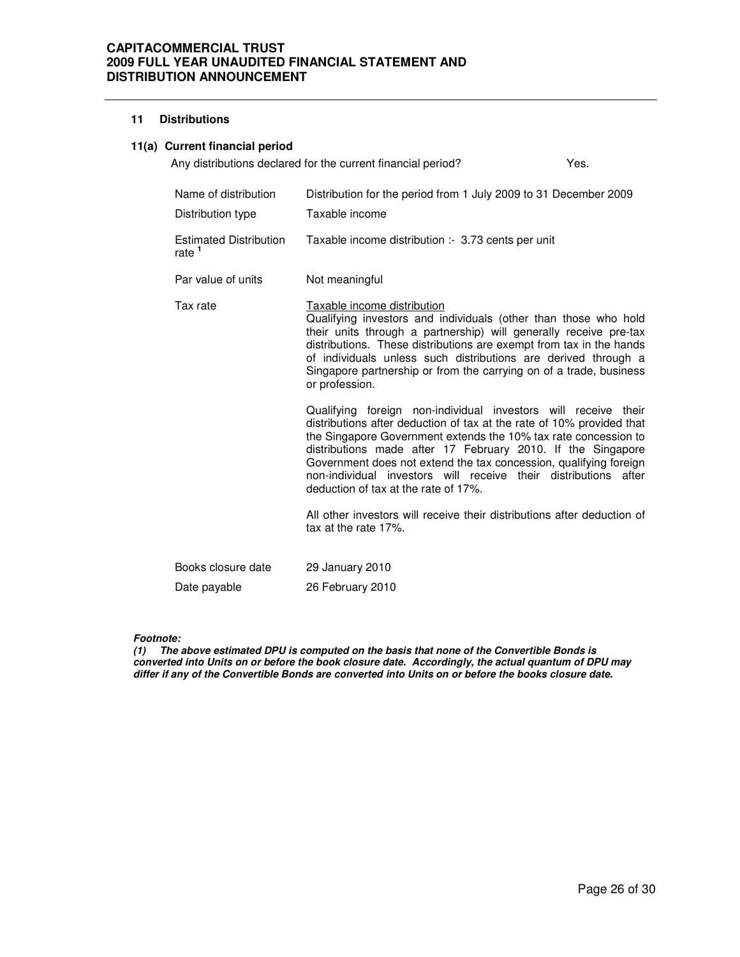### **11 Distributions**

## **11(a) Current financial period**

|                                                    | Any distributions declared for the current financial period?                                                                                                                                                                                                                                                                                                                                                                                              | Yes. |
|----------------------------------------------------|-----------------------------------------------------------------------------------------------------------------------------------------------------------------------------------------------------------------------------------------------------------------------------------------------------------------------------------------------------------------------------------------------------------------------------------------------------------|------|
| Name of distribution                               | Distribution for the period from 1 July 2009 to 31 December 2009                                                                                                                                                                                                                                                                                                                                                                                          |      |
| Distribution type                                  | Taxable income                                                                                                                                                                                                                                                                                                                                                                                                                                            |      |
| <b>Estimated Distribution</b><br>rate <sup>1</sup> | Taxable income distribution :- 3.73 cents per unit                                                                                                                                                                                                                                                                                                                                                                                                        |      |
| Par value of units                                 | Not meaningful                                                                                                                                                                                                                                                                                                                                                                                                                                            |      |
| Tax rate                                           | Taxable income distribution<br>Qualifying investors and individuals (other than those who hold<br>their units through a partnership) will generally receive pre-tax<br>distributions. These distributions are exempt from tax in the hands<br>of individuals unless such distributions are derived through a<br>Singapore partnership or from the carrying on of a trade, business<br>or profession.                                                      |      |
|                                                    | Qualifying foreign non-individual investors will receive their<br>distributions after deduction of tax at the rate of 10% provided that<br>the Singapore Government extends the 10% tax rate concession to<br>distributions made after 17 February 2010. If the Singapore<br>Government does not extend the tax concession, qualifying foreign<br>non-individual investors will receive their distributions after<br>deduction of tax at the rate of 17%. |      |

All other investors will receive their distributions after deduction of tax at the rate 17%.

| Books closure date | 29 January 2010  |
|--------------------|------------------|
| Date payable       | 26 February 2010 |

**Footnote:** 

**(1) The above estimated DPU is computed on the basis that none of the Convertible Bonds is converted into Units on or before the book closure date. Accordingly, the actual quantum of DPU may differ if any of the Convertible Bonds are converted into Units on or before the books closure date.**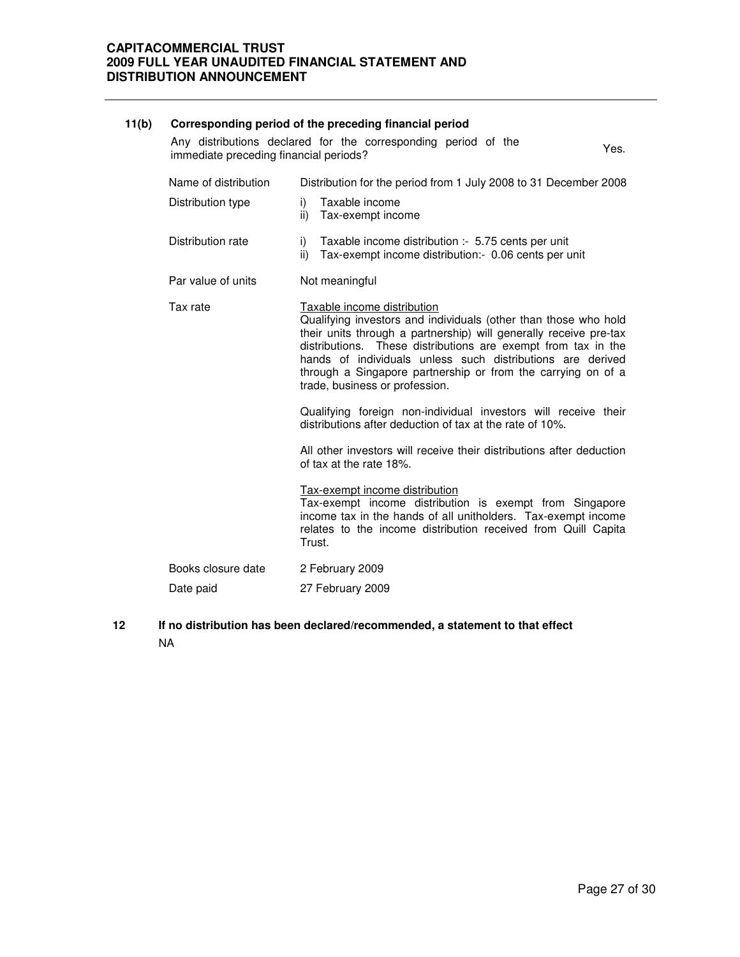# **11(b) Corresponding period of the preceding financial period** Any distributions declared for the corresponding period of the Any distributions declared for the corresponding period of the Yes.<br>immediate preceding financial periods? Name of distribution Distribution for the period from 1 July 2008 to 31 December 2008 Distribution type i) Taxable income ii) Tax-exempt income Distribution rate i) Taxable income distribution :- 5.75 cents per unit ii) Tax-exempt income distribution:- 0.06 cents per unit Par value of units Not meaningful Tax rate Taxable income distribution Qualifying investors and individuals (other than those who hold their units through a partnership) will generally receive pre-tax distributions. These distributions are exempt from tax in the hands of individuals unless such distributions are derived through a Singapore partnership or from the carrying on of a trade, business or profession. Qualifying foreign non-individual investors will receive their distributions after deduction of tax at the rate of 10%. All other investors will receive their distributions after deduction of tax at the rate 18%. Tax-exempt income distribution Tax-exempt income distribution is exempt from Singapore income tax in the hands of all unitholders. Tax-exempt income relates to the income distribution received from Quill Capita Trust. Books closure date 2 February 2009 Date paid 27 February 2009

**12 If no distribution has been declared/recommended, a statement to that effect** NA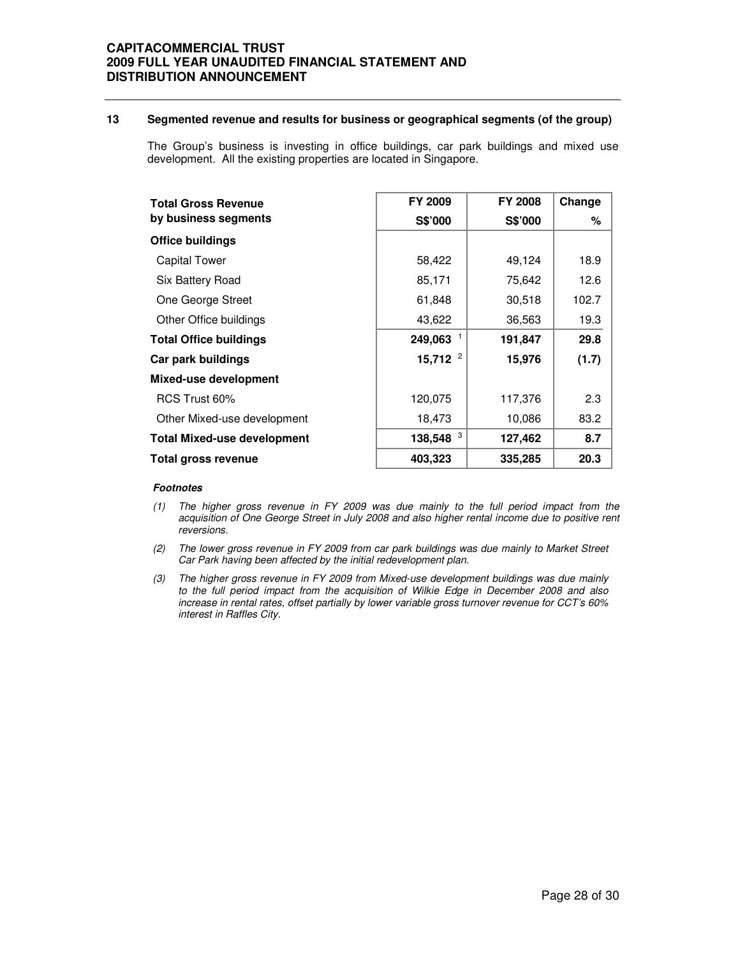## **13 Segmented revenue and results for business or geographical segments (of the group)**

The Group's business is investing in office buildings, car park buildings and mixed use development. All the existing properties are located in Singapore.

| <b>Total Gross Revenue</b>         | FY 2009      | <b>FY 2008</b> | Change |
|------------------------------------|--------------|----------------|--------|
| by business segments               | S\$'000      | S\$'000        | ℅      |
| Office buildings                   |              |                |        |
| <b>Capital Tower</b>               | 58,422       | 49,124         | 18.9   |
| Six Battery Road                   | 85,171       | 75,642         | 12.6   |
| One George Street                  | 61,848       | 30,518         | 102.7  |
| Other Office buildings             | 43,622       | 36,563         | 19.3   |
| <b>Total Office buildings</b>      | 249,063      | 191,847        | 29.8   |
| Car park buildings                 | 15,712 $^2$  | 15,976         | (1.7)  |
| Mixed-use development              |              |                |        |
| RCS Trust 60%                      | 120,075      | 117,376        | 2.3    |
| Other Mixed-use development        | 18,473       | 10,086         | 83.2   |
| <b>Total Mixed-use development</b> | 3<br>138,548 | 127,462        | 8.7    |
| Total gross revenue                | 403,323      | 335,285        | 20.3   |

### **Footnotes**

- (1) The higher gross revenue in FY 2009 was due mainly to the full period impact from the acquisition of One George Street in July 2008 and also higher rental income due to positive rent reversions.
- (2) The lower gross revenue in FY 2009 from car park buildings was due mainly to Market Street Car Park having been affected by the initial redevelopment plan.
- (3) The higher gross revenue in FY 2009 from Mixed-use development buildings was due mainly to the full period impact from the acquisition of Wilkie Edge in December 2008 and also increase in rental rates, offset partially by lower variable gross turnover revenue for CCT's 60% interest in Raffles City.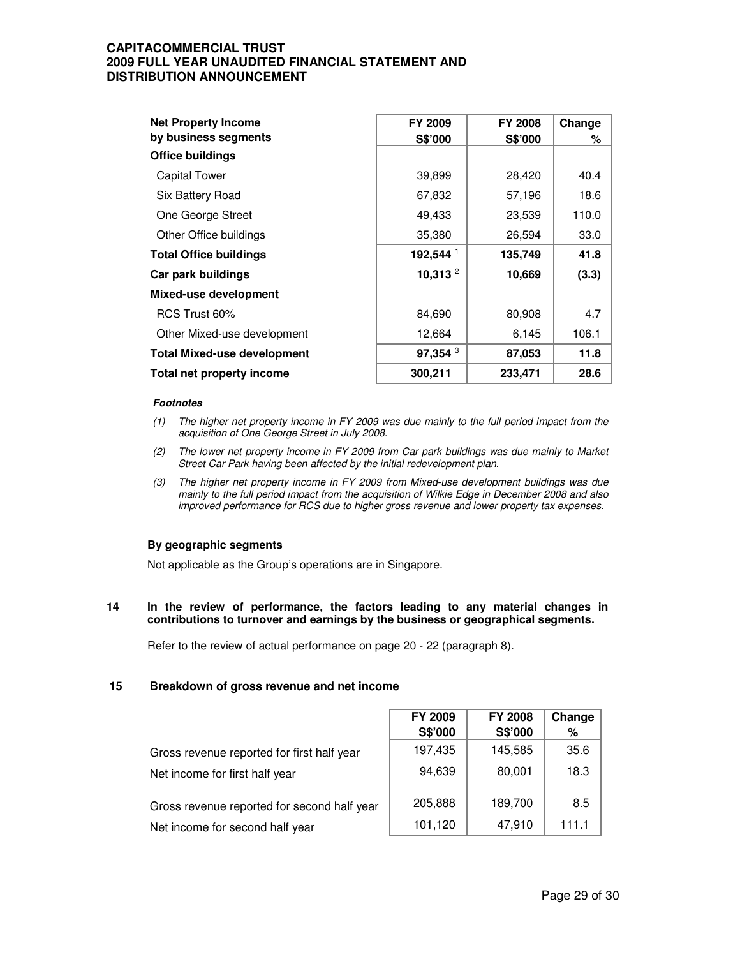| <b>Net Property Income</b>         | FY 2009              | <b>FY 2008</b> | Change |
|------------------------------------|----------------------|----------------|--------|
| by business segments               | S\$'000              | S\$'000        | ℅      |
| <b>Office buildings</b>            |                      |                |        |
| <b>Capital Tower</b>               | 39,899               | 28,420         | 40.4   |
| Six Battery Road                   | 67,832               | 57,196         | 18.6   |
| One George Street                  | 49,433               | 23,539         | 110.0  |
| Other Office buildings             | 35,380               | 26,594         | 33.0   |
| <b>Total Office buildings</b>      | 192,544 <sup>1</sup> | 135,749        | 41.8   |
| Car park buildings                 | 10,313 $^2$          | 10,669         | (3.3)  |
| Mixed-use development              |                      |                |        |
| RCS Trust 60%                      | 84,690               | 80,908         | 4.7    |
| Other Mixed-use development        | 12,664               | 6,145          | 106.1  |
| <b>Total Mixed-use development</b> | 97,354 <sup>3</sup>  | 87,053         | 11.8   |
| Total net property income          | 300,211              | 233,471        | 28.6   |

### **Footnotes**

- (1) The higher net property income in FY 2009 was due mainly to the full period impact from the acquisition of One George Street in July 2008.
- (2) The lower net property income in FY 2009 from Car park buildings was due mainly to Market Street Car Park having been affected by the initial redevelopment plan.
- (3) The higher net property income in FY 2009 from Mixed-use development buildings was due mainly to the full period impact from the acquisition of Wilkie Edge in December 2008 and also improved performance for RCS due to higher gross revenue and lower property tax expenses.

## **By geographic segments**

Not applicable as the Group's operations are in Singapore.

### **14 In the review of performance, the factors leading to any material changes in contributions to turnover and earnings by the business or geographical segments.**

Refer to the review of actual performance on page 20 - 22 (paragraph 8).

### **15 Breakdown of gross revenue and net income**

|                                             | FY 2009<br>S\$'000 | <b>FY 2008</b><br>S\$'000 | Change<br>% |
|---------------------------------------------|--------------------|---------------------------|-------------|
| Gross revenue reported for first half year  | 197,435            | 145,585                   | 35.6        |
| Net income for first half year              | 94,639             | 80,001                    | 18.3        |
| Gross revenue reported for second half year | 205,888            | 189,700                   | 8.5         |
| Net income for second half year             | 101,120            | 47,910                    | 111.1       |